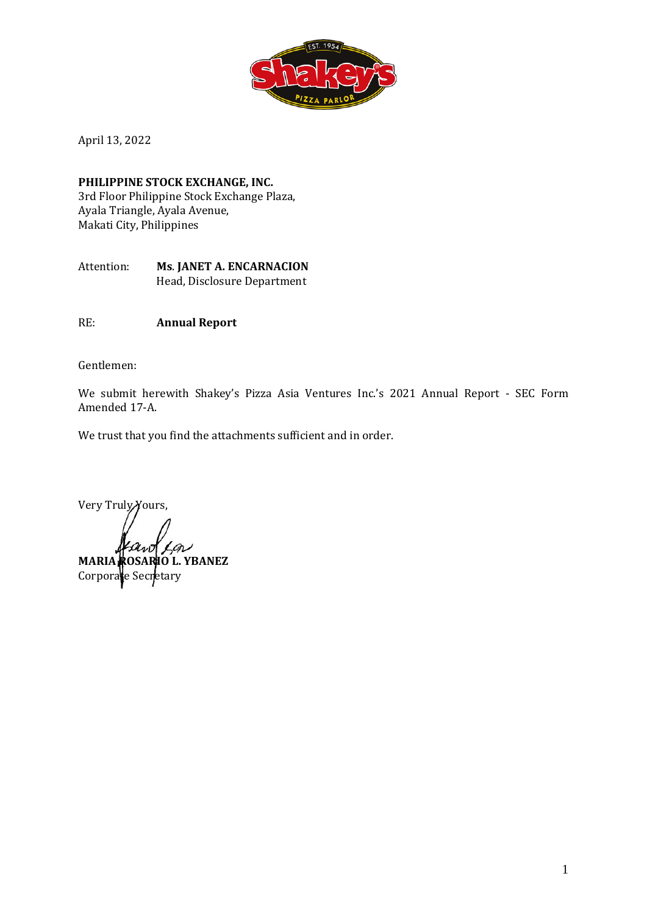

April 13, 2022

**PHILIPPINE STOCK EXCHANGE, INC.** 3rd Floor Philippine Stock Exchange Plaza, Ayala Triangle, Ayala Avenue, Makati City, Philippines

Attention: **Ms**. **JANET A. ENCARNACION** Head, Disclosure Department

RE: **Annual Report** 

Gentlemen:

We submit herewith Shakey's Pizza Asia Ventures Inc.'s 2021 Annual Report - SEC Form Amended 17-A.

We trust that you find the attachments sufficient and in order.

Very Truly Yours,

**MARIA ROSARIO L. YBANEZ** Corporate Secretary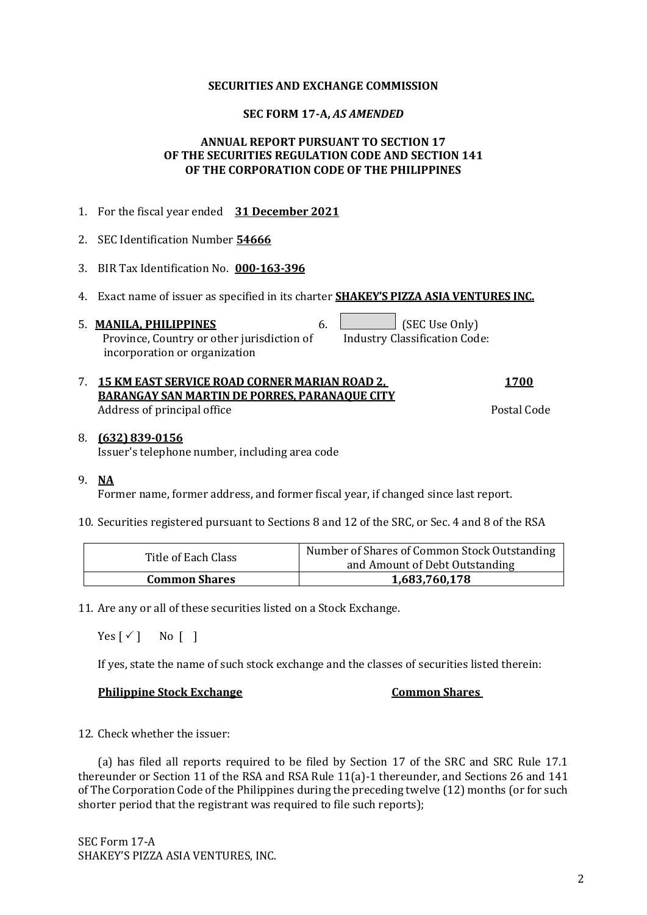#### **SECURITIES AND EXCHANGE COMMISSION**

#### **SEC FORM 17-A,** *AS AMENDED*

#### **ANNUAL REPORT PURSUANT TO SECTION 17 OF THE SECURITIES REGULATION CODE AND SECTION 141 OF THE CORPORATION CODE OF THE PHILIPPINES**

| 1. For the fiscal year ended 31 December 2021                                                                                             |                |
|-------------------------------------------------------------------------------------------------------------------------------------------|----------------|
| 2. SEC Identification Number 54666                                                                                                        |                |
| 3. BIR Tax Identification No. 000-163-396                                                                                                 |                |
| 4. Exact name of issuer as specified in its charter <b>SHAKEY'S PIZZA ASIA VENTURES INC.</b>                                              |                |
| 6.<br>5. MANILA, PHILIPPINES<br>Province, Country or other jurisdiction of Industry Classification Code:<br>incorporation or organization | (SEC Use Only) |
|                                                                                                                                           |                |

| 7. 15 KM EAST SERVICE ROAD CORNER MARIAN ROAD 2,     | <u>1700</u> |
|------------------------------------------------------|-------------|
| <b>BARANGAY SAN MARTIN DE PORRES, PARANAQUE CITY</b> |             |
| Address of principal office                          | Postal Code |

#### 8. **(632) 839-0156** Issuer's telephone number, including area code

#### 9. **NA**

Former name, former address, and former fiscal year, if changed since last report.

10. Securities registered pursuant to Sections 8 and 12 of the SRC, or Sec. 4 and 8 of the RSA

| Title of Each Class  | Number of Shares of Common Stock Outstanding<br>and Amount of Debt Outstanding |
|----------------------|--------------------------------------------------------------------------------|
| <b>Common Shares</b> | 1,683,760,178                                                                  |

11. Are any or all of these securities listed on a Stock Exchange.

 $Yes [\checkmark]$  No  $[]$ 

If yes, state the name of such stock exchange and the classes of securities listed therein:

#### **Philippine Stock Exchange Common Shares**

12. Check whether the issuer:

(a) has filed all reports required to be filed by Section 17 of the SRC and SRC Rule 17.1 thereunder or Section 11 of the RSA and RSA Rule 11(a)-1 thereunder, and Sections 26 and 141 of The Corporation Code of the Philippines during the preceding twelve (12) months (or for such shorter period that the registrant was required to file such reports);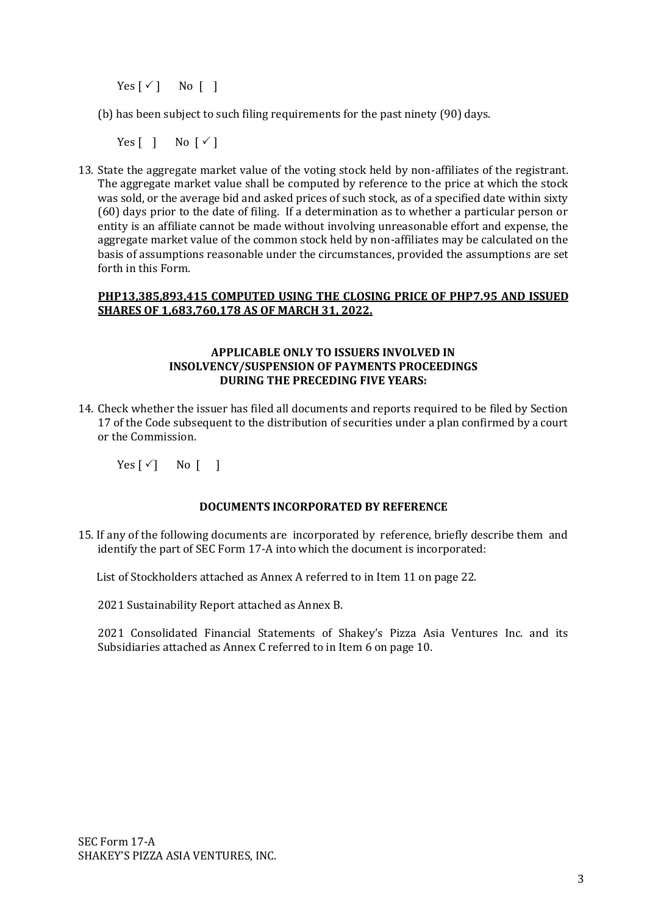$Yes [\checkmark]$  No [ ]

(b) has been subject to such filing requirements for the past ninety (90) days.

Yes  $\lceil \ \rceil$  No  $\lceil \checkmark \rceil$ 

13. State the aggregate market value of the voting stock held by non-affiliates of the registrant. The aggregate market value shall be computed by reference to the price at which the stock was sold, or the average bid and asked prices of such stock, as of a specified date within sixty (60) days prior to the date of filing. If a determination as to whether a particular person or entity is an affiliate cannot be made without involving unreasonable effort and expense, the aggregate market value of the common stock held by non-affiliates may be calculated on the basis of assumptions reasonable under the circumstances, provided the assumptions are set forth in this Form.

#### **PHP13,385,893,415 COMPUTED USING THE CLOSING PRICE OF PHP7.95 AND ISSUED SHARES OF 1,683,760,178 AS OF MARCH 31, 2022.**

#### **APPLICABLE ONLY TO ISSUERS INVOLVED IN INSOLVENCY/SUSPENSION OF PAYMENTS PROCEEDINGS DURING THE PRECEDING FIVE YEARS:**

14. Check whether the issuer has filed all documents and reports required to be filed by Section 17 of the Code subsequent to the distribution of securities under a plan confirmed by a court or the Commission.

 $Yes [ \checkmark ]$  No [ ]

## **DOCUMENTS INCORPORATED BY REFERENCE**

15. If any of the following documents are incorporated by reference, briefly describe them and identify the part of SEC Form 17-A into which the document is incorporated:

List of Stockholders attached as Annex A referred to in Item 11 on page 22.

2021 Sustainability Report attached as Annex B.

2021 Consolidated Financial Statements of Shakey's Pizza Asia Ventures Inc. and its Subsidiaries attached as Annex C referred to in Item 6 on page 10.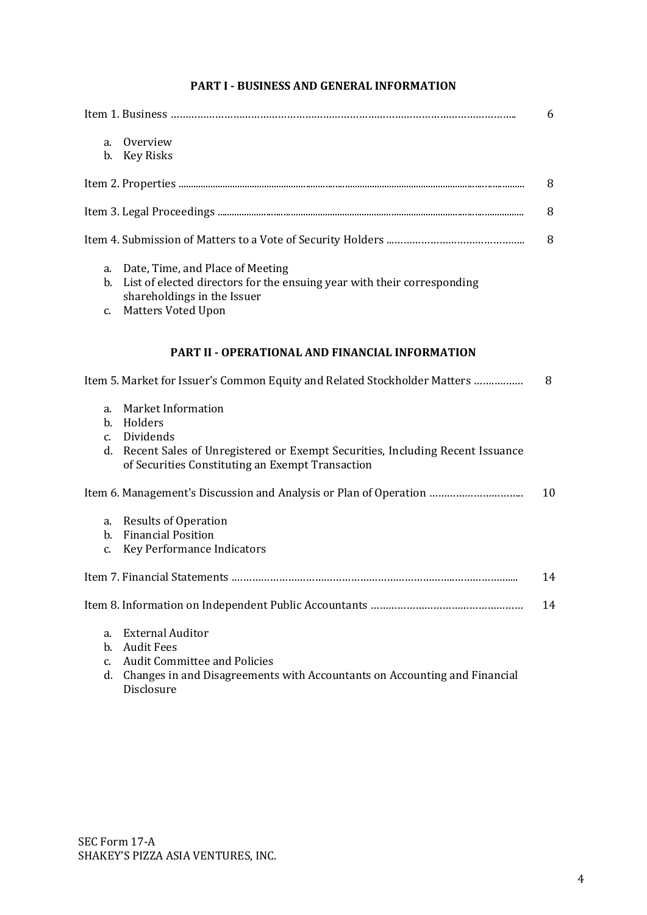# **PART I - BUSINESS AND GENERAL INFORMATION**

|          |                                                                                                                                  | 6  |
|----------|----------------------------------------------------------------------------------------------------------------------------------|----|
| a.       | Overview                                                                                                                         |    |
| b.       | Key Risks                                                                                                                        |    |
|          |                                                                                                                                  | 8  |
|          |                                                                                                                                  | 8  |
|          |                                                                                                                                  | 8  |
| a.       | Date, Time, and Place of Meeting                                                                                                 |    |
| b.       | List of elected directors for the ensuing year with their corresponding<br>shareholdings in the Issuer                           |    |
| c.       | <b>Matters Voted Upon</b>                                                                                                        |    |
|          | <b>PART II - OPERATIONAL AND FINANCIAL INFORMATION</b>                                                                           |    |
|          |                                                                                                                                  |    |
|          | Item 5. Market for Issuer's Common Equity and Related Stockholder Matters                                                        | 8  |
| a.       | <b>Market Information</b>                                                                                                        |    |
| c.       | b. Holders<br>Dividends                                                                                                          |    |
| d.       | Recent Sales of Unregistered or Exempt Securities, Including Recent Issuance<br>of Securities Constituting an Exempt Transaction |    |
|          |                                                                                                                                  | 10 |
| a.       | <b>Results of Operation</b>                                                                                                      |    |
|          | b. Financial Position                                                                                                            |    |
| c.       | Key Performance Indicators                                                                                                       |    |
|          |                                                                                                                                  | 14 |
|          |                                                                                                                                  | 14 |
| a.       | <b>External Auditor</b>                                                                                                          |    |
| b.       | <b>Audit Fees</b>                                                                                                                |    |
| C.<br>d. | <b>Audit Committee and Policies</b><br>Changes in and Disagreements with Accountants on Accounting and Financial                 |    |
|          | Disclosure                                                                                                                       |    |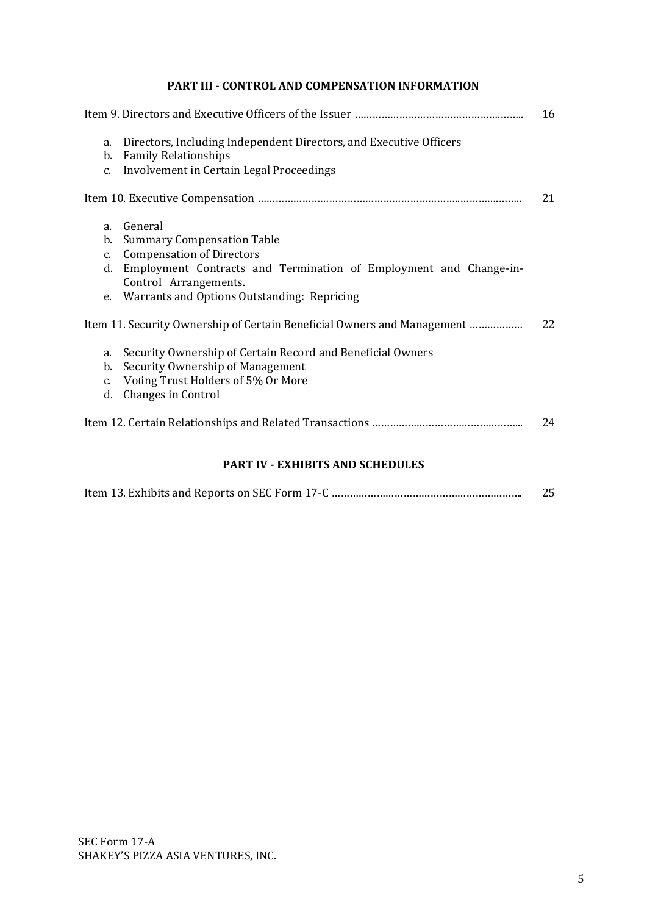# **PART III - CONTROL AND COMPENSATION INFORMATION**

|                                                 |                                                                                                                                                                                                                                       | 16 |
|-------------------------------------------------|---------------------------------------------------------------------------------------------------------------------------------------------------------------------------------------------------------------------------------------|----|
| a.<br>b.<br>$C_{\bullet}$                       | Directors, Including Independent Directors, and Executive Officers<br><b>Family Relationships</b><br>Involvement in Certain Legal Proceedings                                                                                         |    |
|                                                 |                                                                                                                                                                                                                                       | 21 |
| a <sub>z</sub><br>b.<br>$C_{\cdot}$<br>d.<br>e. | General<br><b>Summary Compensation Table</b><br><b>Compensation of Directors</b><br>Employment Contracts and Termination of Employment and Change-in-<br>Control Arrangements.<br>Warrants and Options Outstanding: Repricing         |    |
| a.<br>b.<br>$C_{\bullet}$<br>d.                 | Item 11. Security Ownership of Certain Beneficial Owners and Management<br>Security Ownership of Certain Record and Beneficial Owners<br>Security Ownership of Management<br>Voting Trust Holders of 5% Or More<br>Changes in Control | 22 |
|                                                 |                                                                                                                                                                                                                                       | 24 |
|                                                 |                                                                                                                                                                                                                                       |    |

# **PART IV - EXHIBITS AND SCHEDULES**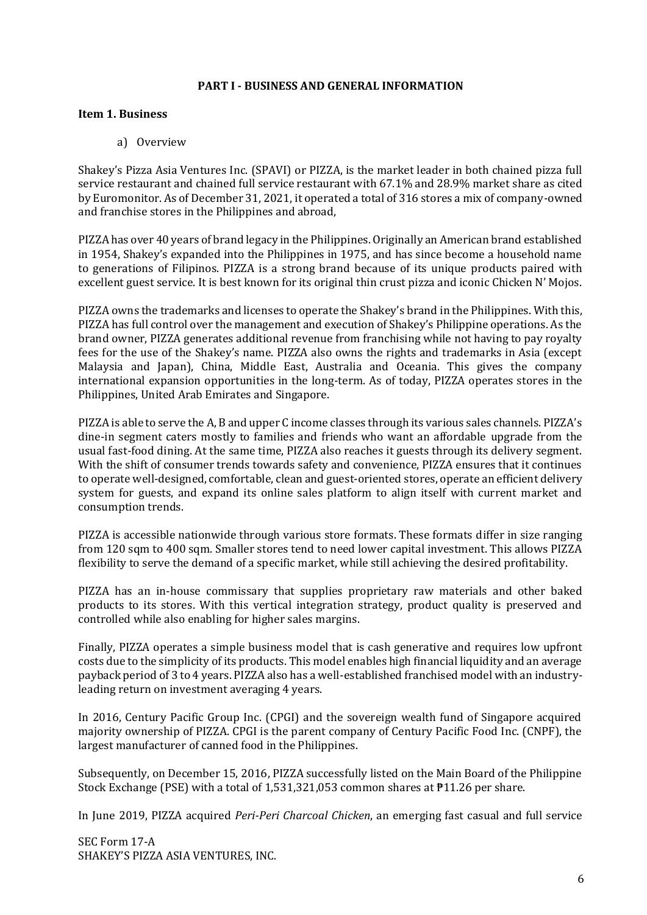#### **PART I - BUSINESS AND GENERAL INFORMATION**

#### **Item 1. Business**

a) Overview

Shakey's Pizza Asia Ventures Inc. (SPAVI) or PIZZA, is the market leader in both chained pizza full service restaurant and chained full service restaurant with 67.1% and 28.9% market share as cited by Euromonitor. As of December 31, 2021, it operated a total of 316 stores a mix of company-owned and franchise stores in the Philippines and abroad,

PIZZA has over 40 years of brand legacy in the Philippines. Originally an American brand established in 1954, Shakey's expanded into the Philippines in 1975, and has since become a household name to generations of Filipinos. PIZZA is a strong brand because of its unique products paired with excellent guest service. It is best known for its original thin crust pizza and iconic Chicken N' Mojos.

PIZZA owns the trademarks and licenses to operate the Shakey's brand in the Philippines. With this, PIZZA has full control over the management and execution of Shakey's Philippine operations. As the brand owner, PIZZA generates additional revenue from franchising while not having to pay royalty fees for the use of the Shakey's name. PIZZA also owns the rights and trademarks in Asia (except Malaysia and Japan), China, Middle East, Australia and Oceania. This gives the company international expansion opportunities in the long-term. As of today, PIZZA operates stores in the Philippines, United Arab Emirates and Singapore.

PIZZA is able to serve the A, B and upper C income classes through its various sales channels. PIZZA's dine-in segment caters mostly to families and friends who want an affordable upgrade from the usual fast-food dining. At the same time, PIZZA also reaches it guests through its delivery segment. With the shift of consumer trends towards safety and convenience, PIZZA ensures that it continues to operate well-designed, comfortable, clean and guest-oriented stores, operate an efficient delivery system for guests, and expand its online sales platform to align itself with current market and consumption trends.

PIZZA is accessible nationwide through various store formats. These formats differ in size ranging from 120 sqm to 400 sqm. Smaller stores tend to need lower capital investment. This allows PIZZA flexibility to serve the demand of a specific market, while still achieving the desired profitability.

PIZZA has an in-house commissary that supplies proprietary raw materials and other baked products to its stores. With this vertical integration strategy, product quality is preserved and controlled while also enabling for higher sales margins.

Finally, PIZZA operates a simple business model that is cash generative and requires low upfront costs due to the simplicity of its products. This model enables high financial liquidity and an average payback period of 3 to 4 years. PIZZA also has a well-established franchised model with an industryleading return on investment averaging 4 years.

In 2016, Century Pacific Group Inc. (CPGI) and the sovereign wealth fund of Singapore acquired majority ownership of PIZZA. CPGI is the parent company of Century Pacific Food Inc. (CNPF), the largest manufacturer of canned food in the Philippines.

Subsequently, on December 15, 2016, PIZZA successfully listed on the Main Board of the Philippine Stock Exchange (PSE) with a total of 1,531,321,053 common shares at ₱11.26 per share.

In June 2019, PIZZA acquired *Peri-Peri Charcoal Chicken*, an emerging fast casual and full service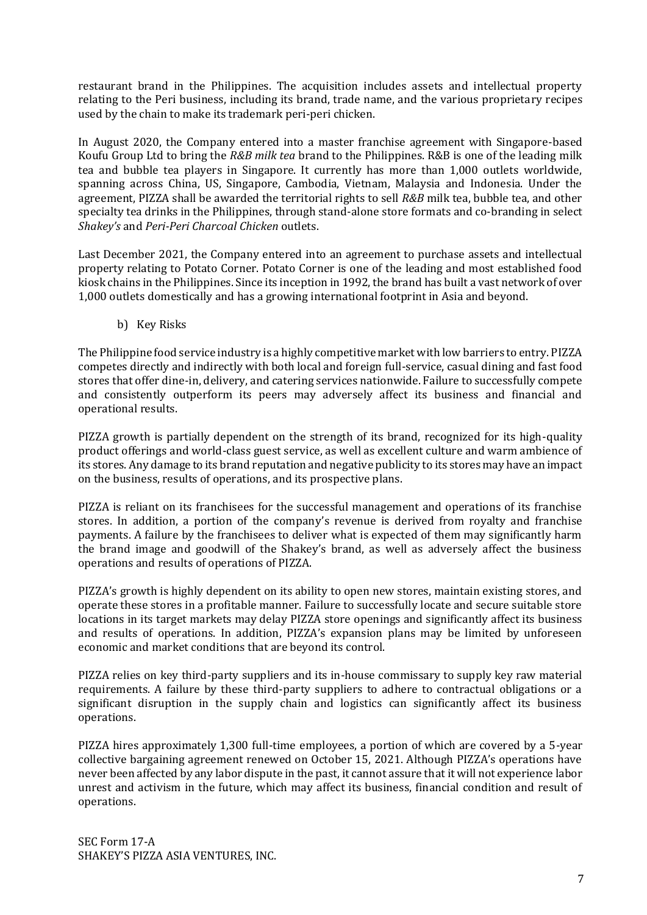restaurant brand in the Philippines. The acquisition includes assets and intellectual property relating to the Peri business, including its brand, trade name, and the various proprietary recipes used by the chain to make its trademark peri-peri chicken.

In August 2020, the Company entered into a master franchise agreement with Singapore-based Koufu Group Ltd to bring the *R&B milk tea* brand to the Philippines. R&B is one of the leading milk tea and bubble tea players in Singapore. It currently has more than 1,000 outlets worldwide, spanning across China, US, Singapore, Cambodia, Vietnam, Malaysia and Indonesia. Under the agreement, PIZZA shall be awarded the territorial rights to sell *R&B* milk tea, bubble tea, and other specialty tea drinks in the Philippines, through stand-alone store formats and co-branding in select *Shakey's* and *Peri-Peri Charcoal Chicken* outlets.

Last December 2021, the Company entered into an agreement to purchase assets and intellectual property relating to Potato Corner. Potato Corner is one of the leading and most established food kiosk chains in the Philippines. Since its inception in 1992, the brand has built a vast network of over 1,000 outlets domestically and has a growing international footprint in Asia and beyond.

b) Key Risks

The Philippine food service industry is a highly competitive market with low barriers to entry. PIZZA competes directly and indirectly with both local and foreign full-service, casual dining and fast food stores that offer dine-in, delivery, and catering services nationwide. Failure to successfully compete and consistently outperform its peers may adversely affect its business and financial and operational results.

PIZZA growth is partially dependent on the strength of its brand, recognized for its high-quality product offerings and world-class guest service, as well as excellent culture and warm ambience of its stores. Any damage to its brand reputation and negative publicity to its stores may have an impact on the business, results of operations, and its prospective plans.

PIZZA is reliant on its franchisees for the successful management and operations of its franchise stores. In addition, a portion of the company's revenue is derived from royalty and franchise payments. A failure by the franchisees to deliver what is expected of them may significantly harm the brand image and goodwill of the Shakey's brand, as well as adversely affect the business operations and results of operations of PIZZA.

PIZZA's growth is highly dependent on its ability to open new stores, maintain existing stores, and operate these stores in a profitable manner. Failure to successfully locate and secure suitable store locations in its target markets may delay PIZZA store openings and significantly affect its business and results of operations. In addition, PIZZA's expansion plans may be limited by unforeseen economic and market conditions that are beyond its control.

PIZZA relies on key third-party suppliers and its in-house commissary to supply key raw material requirements. A failure by these third-party suppliers to adhere to contractual obligations or a significant disruption in the supply chain and logistics can significantly affect its business operations.

PIZZA hires approximately 1,300 full-time employees, a portion of which are covered by a 5-year collective bargaining agreement renewed on October 15, 2021. Although PIZZA's operations have never been affected by any labor dispute in the past, it cannot assure that it will not experience labor unrest and activism in the future, which may affect its business, financial condition and result of operations.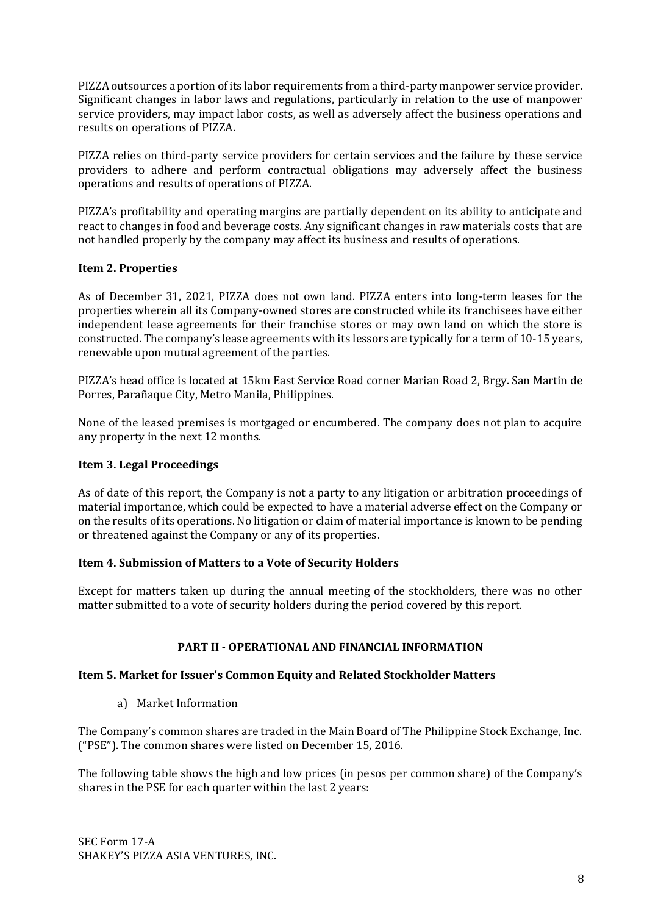PIZZA outsources a portion of its labor requirements from a third-party manpower service provider. Significant changes in labor laws and regulations, particularly in relation to the use of manpower service providers, may impact labor costs, as well as adversely affect the business operations and results on operations of PIZZA.

PIZZA relies on third-party service providers for certain services and the failure by these service providers to adhere and perform contractual obligations may adversely affect the business operations and results of operations of PIZZA.

PIZZA's profitability and operating margins are partially dependent on its ability to anticipate and react to changes in food and beverage costs. Any significant changes in raw materials costs that are not handled properly by the company may affect its business and results of operations.

# **Item 2. Properties**

As of December 31, 2021, PIZZA does not own land. PIZZA enters into long-term leases for the properties wherein all its Company-owned stores are constructed while its franchisees have either independent lease agreements for their franchise stores or may own land on which the store is constructed. The company's lease agreements with its lessors are typically for a term of 10-15 years, renewable upon mutual agreement of the parties.

PIZZA's head office is located at 15km East Service Road corner Marian Road 2, Brgy. San Martin de Porres, Parañaque City, Metro Manila, Philippines.

None of the leased premises is mortgaged or encumbered. The company does not plan to acquire any property in the next 12 months.

## **Item 3. Legal Proceedings**

As of date of this report, the Company is not a party to any litigation or arbitration proceedings of material importance, which could be expected to have a material adverse effect on the Company or on the results of its operations. No litigation or claim of material importance is known to be pending or threatened against the Company or any of its properties.

## **Item 4. Submission of Matters to a Vote of Security Holders**

Except for matters taken up during the annual meeting of the stockholders, there was no other matter submitted to a vote of security holders during the period covered by this report.

#### **PART II - OPERATIONAL AND FINANCIAL INFORMATION**

#### **Item 5. Market for Issuer's Common Equity and Related Stockholder Matters**

a) Market Information

The Company's common shares are traded in the Main Board of The Philippine Stock Exchange, Inc. ("PSE"). The common shares were listed on December 15, 2016.

The following table shows the high and low prices (in pesos per common share) of the Company's shares in the PSE for each quarter within the last 2 years: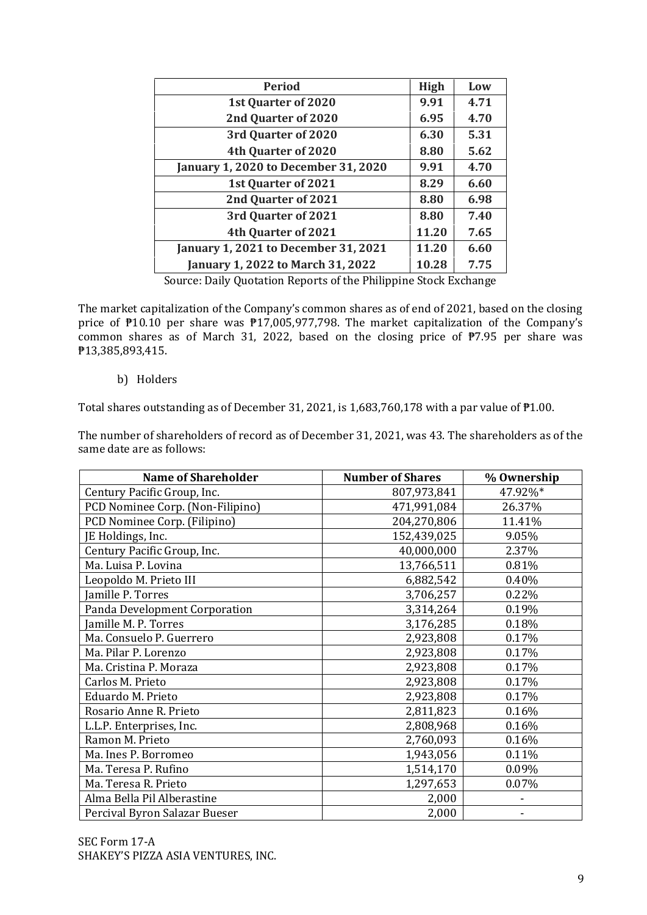| <b>Period</b><br><b>High</b><br>Low                          |  |
|--------------------------------------------------------------|--|
| 9.91<br>1st Quarter of 2020<br>4.71                          |  |
| 2nd Quarter of 2020<br>6.95<br>4.70                          |  |
| 3rd Quarter of 2020<br>5.31<br>6.30                          |  |
| 4th Quarter of 2020<br>8.80<br>5.62                          |  |
| <b>January 1, 2020 to December 31, 2020</b><br>9.91<br>4.70  |  |
| 1st Quarter of 2021<br>8.29<br>6.60                          |  |
| 2nd Quarter of 2021<br>8.80<br>6.98                          |  |
| 3rd Quarter of 2021<br>8.80<br>7.40                          |  |
| 4th Quarter of 2021<br>11.20<br>7.65                         |  |
| <b>January 1, 2021 to December 31, 2021</b><br>11.20<br>6.60 |  |
| January 1, 2022 to March 31, 2022<br>7.75<br>10.28           |  |

Source: Daily Quotation Reports of the Philippine Stock Exchange

The market capitalization of the Company's common shares as of end of 2021, based on the closing price of ₱10.10 per share was ₱17,005,977,798. The market capitalization of the Company's common shares as of March 31, 2022, based on the closing price of ₱7.95 per share was ₱13,385,893,415.

b) Holders

Total shares outstanding as of December 31, 2021, is 1,683,760,178 with a par value of ₱1.00.

The number of shareholders of record as of December 31, 2021, was 43. The shareholders as of the same date are as follows:

| <b>Name of Shareholder</b>       | <b>Number of Shares</b> | % Ownership |
|----------------------------------|-------------------------|-------------|
| Century Pacific Group, Inc.      | 807,973,841             | 47.92%*     |
| PCD Nominee Corp. (Non-Filipino) | 471,991,084             | 26.37%      |
| PCD Nominee Corp. (Filipino)     | 204,270,806             | 11.41%      |
| JE Holdings, Inc.                | 152,439,025             | 9.05%       |
| Century Pacific Group, Inc.      | 40,000,000              | 2.37%       |
| Ma. Luisa P. Lovina              | 13,766,511              | 0.81%       |
| Leopoldo M. Prieto III           | 6,882,542               | 0.40%       |
| <b>Jamille P. Torres</b>         | 3,706,257               | 0.22%       |
| Panda Development Corporation    | 3,314,264               | 0.19%       |
| Jamille M. P. Torres             | 3,176,285               | 0.18%       |
| Ma. Consuelo P. Guerrero         | 2,923,808               | 0.17%       |
| Ma. Pilar P. Lorenzo             | 2,923,808               | 0.17%       |
| Ma. Cristina P. Moraza           | 2,923,808               | 0.17%       |
| Carlos M. Prieto                 | 2,923,808               | 0.17%       |
| Eduardo M. Prieto                | 2,923,808               | 0.17%       |
| Rosario Anne R. Prieto           | 2,811,823               | 0.16%       |
| L.L.P. Enterprises, Inc.         | 2,808,968               | 0.16%       |
| Ramon M. Prieto                  | 2,760,093               | 0.16%       |
| Ma. Ines P. Borromeo             | 1,943,056               | 0.11%       |
| Ma. Teresa P. Rufino             | 1,514,170               | 0.09%       |
| Ma. Teresa R. Prieto             | 1,297,653               | 0.07%       |
| Alma Bella Pil Alberastine       | 2,000                   |             |
| Percival Byron Salazar Bueser    | 2,000                   |             |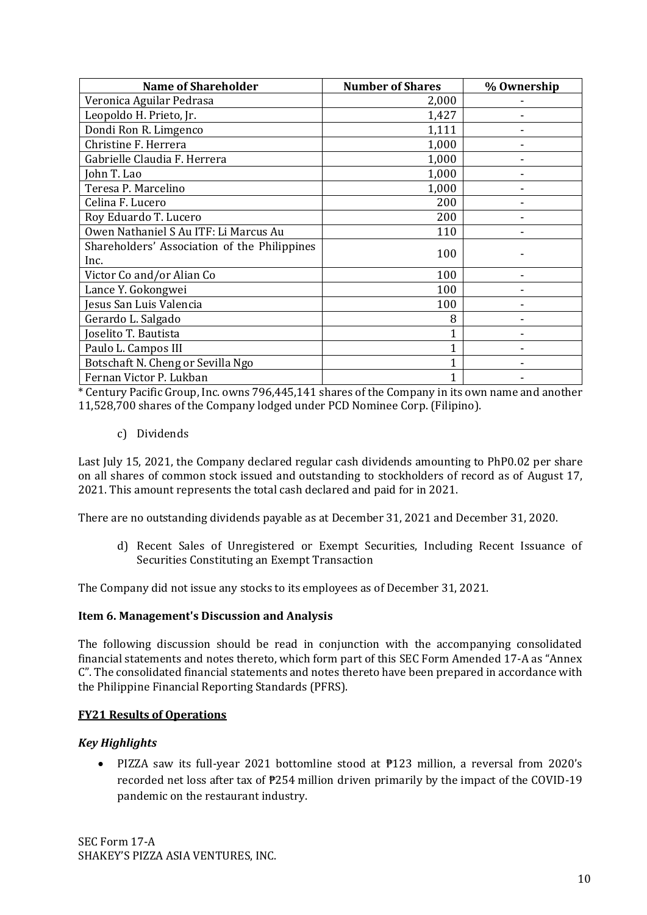| <b>Name of Shareholder</b>                           | <b>Number of Shares</b> | % Ownership |
|------------------------------------------------------|-------------------------|-------------|
| Veronica Aguilar Pedrasa                             | 2,000                   |             |
| Leopoldo H. Prieto, Jr.                              | 1,427                   |             |
| Dondi Ron R. Limgenco                                | 1,111                   |             |
| Christine F. Herrera                                 | 1,000                   |             |
| Gabrielle Claudia F. Herrera                         | 1,000                   |             |
| John T. Lao                                          | 1,000                   |             |
| Teresa P. Marcelino                                  | 1,000                   |             |
| Celina F. Lucero                                     | 200                     |             |
| Roy Eduardo T. Lucero                                | 200                     |             |
| Owen Nathaniel S Au ITF: Li Marcus Au                | 110                     |             |
| Shareholders' Association of the Philippines<br>Inc. | 100                     |             |
| Victor Co and/or Alian Co                            | 100                     |             |
| Lance Y. Gokongwei                                   | 100                     |             |
| Jesus San Luis Valencia                              | 100                     |             |
| Gerardo L. Salgado                                   | 8                       |             |
| Joselito T. Bautista                                 |                         |             |
| Paulo L. Campos III                                  | 1                       |             |
| Botschaft N. Cheng or Sevilla Ngo                    |                         |             |
| Fernan Victor P. Lukban                              | $\mathbf{1}$            |             |

\* Century Pacific Group, Inc. owns 796,445,141 shares of the Company in its own name and another 11,528,700 shares of the Company lodged under PCD Nominee Corp. (Filipino).

c) Dividends

Last July 15, 2021, the Company declared regular cash dividends amounting to PhP0.02 per share on all shares of common stock issued and outstanding to stockholders of record as of August 17, 2021. This amount represents the total cash declared and paid for in 2021.

There are no outstanding dividends payable as at December 31, 2021 and December 31, 2020.

d) Recent Sales of Unregistered or Exempt Securities, Including Recent Issuance of Securities Constituting an Exempt Transaction

The Company did not issue any stocks to its employees as of December 31, 2021.

## **Item 6. Management's Discussion and Analysis**

The following discussion should be read in conjunction with the accompanying consolidated financial statements and notes thereto, which form part of this SEC Form Amended 17-A as "Annex C". The consolidated financial statements and notes thereto have been prepared in accordance with the Philippine Financial Reporting Standards (PFRS).

## **FY21 Results of Operations**

# *Key Highlights*

• PIZZA saw its full-year 2021 bottomline stood at  $P123$  million, a reversal from 2020's recorded net loss after tax of ₱254 million driven primarily by the impact of the COVID-19 pandemic on the restaurant industry.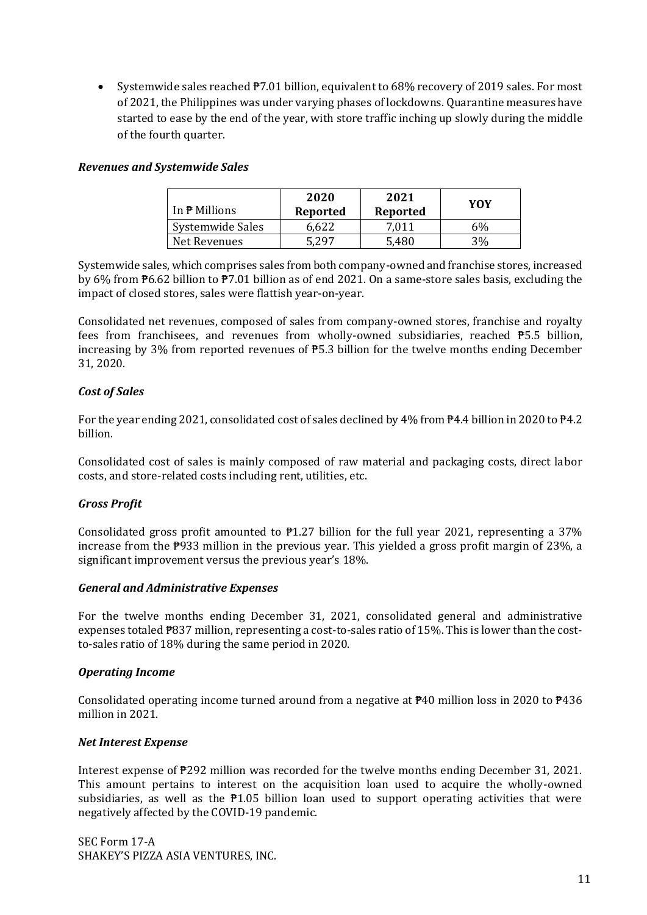• Systemwide sales reached  $\overline{P7.01}$  billion, equivalent to 68% recovery of 2019 sales. For most of 2021, the Philippines was under varying phases of lockdowns. Quarantine measures have started to ease by the end of the year, with store traffic inching up slowly during the middle of the fourth quarter.

#### *Revenues and Systemwide Sales*

| In <del>P</del> Millions | 2020<br>Reported | 2021<br>Reported | YOY |
|--------------------------|------------------|------------------|-----|
| Systemwide Sales         | 6.622            | 7,011            | 6%  |
| Net Revenues             | . 297            | 5.480            | 3%  |

Systemwide sales, which comprises sales from both company-owned and franchise stores, increased by 6% from ₱6.62 billion to ₱7.01 billion as of end 2021. On a same-store sales basis, excluding the impact of closed stores, sales were flattish year-on-year.

Consolidated net revenues, composed of sales from company-owned stores, franchise and royalty fees from franchisees, and revenues from wholly-owned subsidiaries, reached ₱5.5 billion, increasing by 3% from reported revenues of ₱5.3 billion for the twelve months ending December 31, 2020.

## *Cost of Sales*

For the year ending 2021, consolidated cost of sales declined by 4% from ₱4.4 billion in 2020 to ₱4.2 billion.

Consolidated cost of sales is mainly composed of raw material and packaging costs, direct labor costs, and store-related costs including rent, utilities, etc.

#### *Gross Profit*

Consolidated gross profit amounted to  $\overline{P}1.27$  billion for the full year 2021, representing a 37% increase from the ₱933 million in the previous year. This yielded a gross profit margin of 23%, a significant improvement versus the previous year's 18%.

#### *General and Administrative Expenses*

For the twelve months ending December 31, 2021, consolidated general and administrative expenses totaled ₱837 million, representing a cost-to-sales ratio of 15%. This is lower than the costto-sales ratio of 18% during the same period in 2020.

#### *Operating Income*

Consolidated operating income turned around from a negative at  $\overline{P}40$  million loss in 2020 to  $\overline{P}436$ million in 2021.

#### *Net Interest Expense*

Interest expense of ₱292 million was recorded for the twelve months ending December 31, 2021. This amount pertains to interest on the acquisition loan used to acquire the wholly-owned subsidiaries, as well as the  $P1.05$  billion loan used to support operating activities that were negatively affected by the COVID-19 pandemic.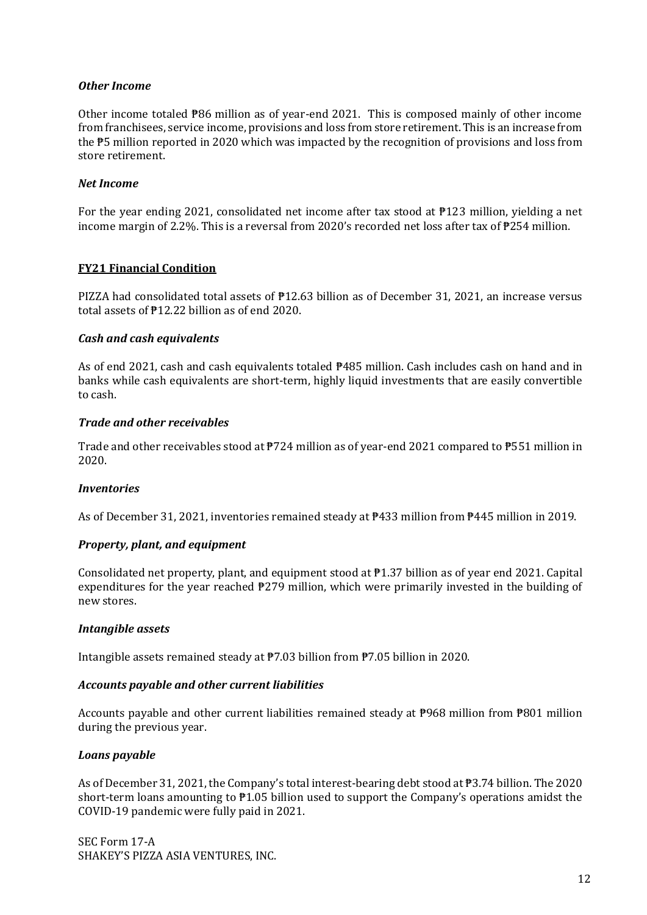#### *Other Income*

Other income totaled ₱86 million as of year-end 2021. This is composed mainly of other income from franchisees, service income, provisions and loss from store retirement. This is an increase from the ₱5 million reported in 2020 which was impacted by the recognition of provisions and loss from store retirement.

#### *Net Income*

For the year ending 2021, consolidated net income after tax stood at ₱123 million, yielding a net income margin of 2.2%. This is a reversal from 2020's recorded net loss after tax of ₱254 million.

#### **FY21 Financial Condition**

PIZZA had consolidated total assets of ₱12.63 billion as of December 31, 2021, an increase versus total assets of ₱12.22 billion as of end 2020.

#### *Cash and cash equivalents*

As of end 2021, cash and cash equivalents totaled ₱485 million. Cash includes cash on hand and in banks while cash equivalents are short-term, highly liquid investments that are easily convertible to cash.

#### *Trade and other receivables*

Trade and other receivables stood at  $\overline{P}724$  million as of year-end 2021 compared to  $\overline{P}551$  million in 2020.

#### *Inventories*

As of December 31, 2021, inventories remained steady at ₱433 million from ₱445 million in 2019.

#### *Property, plant, and equipment*

Consolidated net property, plant, and equipment stood at  $\overline{P}1.37$  billion as of year end 2021. Capital expenditures for the year reached ₱279 million, which were primarily invested in the building of new stores.

#### *Intangible assets*

Intangible assets remained steady at ₱7.03 billion from ₱7.05 billion in 2020.

#### *Accounts payable and other current liabilities*

Accounts payable and other current liabilities remained steady at ₱968 million from ₱801 million during the previous year.

#### *Loans payable*

As of December 31, 2021, the Company's total interest-bearing debt stood at ₱3.74 billion. The 2020 short-term loans amounting to  $P1.05$  billion used to support the Company's operations amidst the COVID-19 pandemic were fully paid in 2021.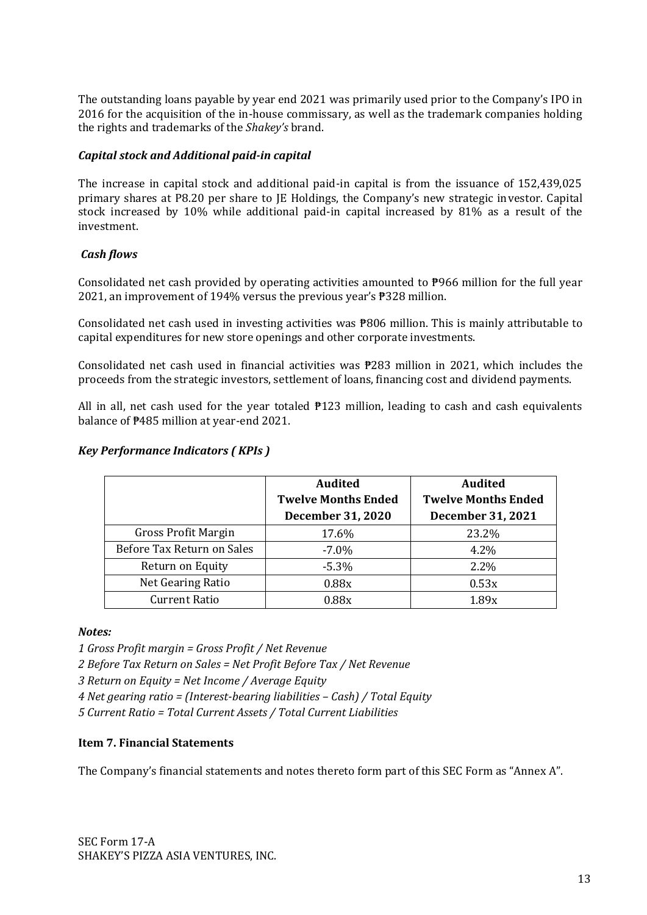The outstanding loans payable by year end 2021 was primarily used prior to the Company's IPO in 2016 for the acquisition of the in-house commissary, as well as the trademark companies holding the rights and trademarks of the *Shakey's* brand.

## *Capital stock and Additional paid-in capital*

The increase in capital stock and additional paid-in capital is from the issuance of 152,439,025 primary shares at P8.20 per share to JE Holdings, the Company's new strategic investor. Capital stock increased by 10% while additional paid-in capital increased by 81% as a result of the investment.

# *Cash flows*

Consolidated net cash provided by operating activities amounted to ₱966 million for the full year 2021, an improvement of 194% versus the previous year's ₱328 million.

Consolidated net cash used in investing activities was ₱806 million. This is mainly attributable to capital expenditures for new store openings and other corporate investments.

Consolidated net cash used in financial activities was ₱283 million in 2021, which includes the proceeds from the strategic investors, settlement of loans, financing cost and dividend payments.

All in all, net cash used for the year totaled  $\overline{P}123$  million, leading to cash and cash equivalents balance of ₱485 million at year-end 2021.

## *Key Performance Indicators ( KPIs )*

|                            | <b>Audited</b>             | <b>Audited</b>             |
|----------------------------|----------------------------|----------------------------|
|                            | <b>Twelve Months Ended</b> | <b>Twelve Months Ended</b> |
|                            | <b>December 31, 2020</b>   | December 31, 2021          |
| <b>Gross Profit Margin</b> | 17.6%                      | 23.2%                      |
| Before Tax Return on Sales | $-7.0\%$                   | 4.2%                       |
| Return on Equity           | $-5.3%$                    | 2.2%                       |
| Net Gearing Ratio          | 0.88x                      | 0.53x                      |
| <b>Current Ratio</b>       | 0.88x                      | 1.89x                      |

#### *Notes:*

*1 Gross Profit margin = Gross Profit / Net Revenue*

*2 Before Tax Return on Sales = Net Profit Before Tax / Net Revenue*

*3 Return on Equity = Net Income / Average Equity*

*4 Net gearing ratio = (Interest-bearing liabilities – Cash) / Total Equity*

*5 Current Ratio = Total Current Assets / Total Current Liabilities*

## **Item 7. Financial Statements**

The Company's financial statements and notes thereto form part of this SEC Form as "Annex A".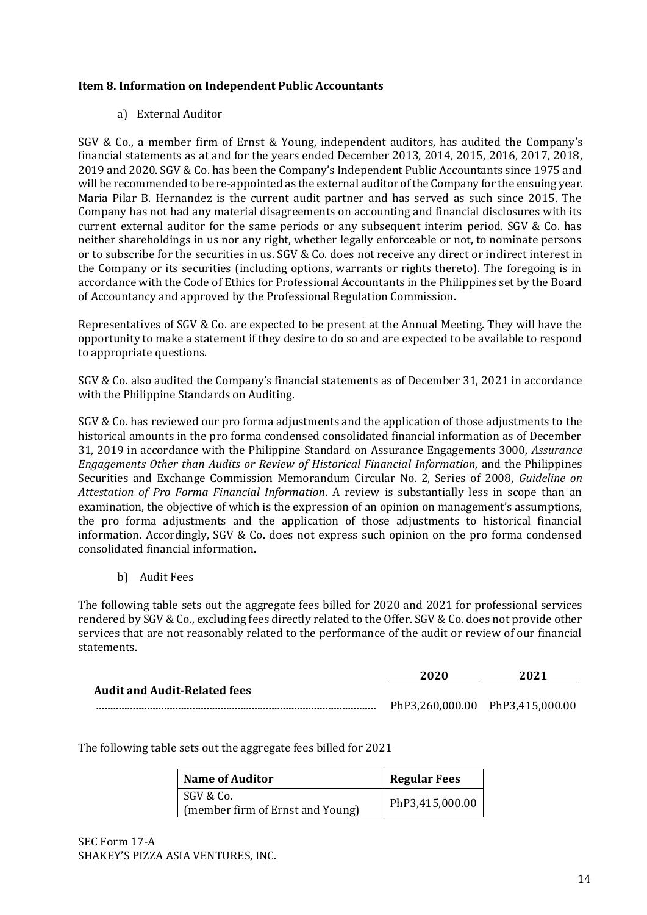# **Item 8. Information on Independent Public Accountants**

# a) External Auditor

SGV & Co., a member firm of Ernst & Young, independent auditors, has audited the Company's financial statements as at and for the years ended December 2013, 2014, 2015, 2016, 2017, 2018, 2019 and 2020. SGV & Co. has been the Company's Independent Public Accountants since 1975 and will be recommended to be re-appointed as the external auditor of the Company for the ensuing year. Maria Pilar B. Hernandez is the current audit partner and has served as such since 2015. The Company has not had any material disagreements on accounting and financial disclosures with its current external auditor for the same periods or any subsequent interim period. SGV & Co. has neither shareholdings in us nor any right, whether legally enforceable or not, to nominate persons or to subscribe for the securities in us. SGV & Co. does not receive any direct or indirect interest in the Company or its securities (including options, warrants or rights thereto). The foregoing is in accordance with the Code of Ethics for Professional Accountants in the Philippines set by the Board of Accountancy and approved by the Professional Regulation Commission.

Representatives of SGV & Co. are expected to be present at the Annual Meeting. They will have the opportunity to make a statement if they desire to do so and are expected to be available to respond to appropriate questions.

SGV & Co. also audited the Company's financial statements as of December 31, 2021 in accordance with the Philippine Standards on Auditing.

SGV & Co. has reviewed our pro forma adjustments and the application of those adjustments to the historical amounts in the pro forma condensed consolidated financial information as of December 31, 2019 in accordance with the Philippine Standard on Assurance Engagements 3000, *Assurance Engagements Other than Audits or Review of Historical Financial Information*, and the Philippines Securities and Exchange Commission Memorandum Circular No. 2, Series of 2008, *Guideline on Attestation of Pro Forma Financial Information*. A review is substantially less in scope than an examination, the objective of which is the expression of an opinion on management's assumptions, the pro forma adjustments and the application of those adjustments to historical financial information. Accordingly, SGV & Co. does not express such opinion on the pro forma condensed consolidated financial information.

b) Audit Fees

The following table sets out the aggregate fees billed for 2020 and 2021 for professional services rendered by SGV & Co., excluding fees directly related to the Offer. SGV & Co. does not provide other services that are not reasonably related to the performance of the audit or review of our financial statements.

|                                     | 2020 | 2021                            |
|-------------------------------------|------|---------------------------------|
| <b>Audit and Audit-Related fees</b> |      |                                 |
|                                     |      | PhP3,260,000.00 PhP3,415,000.00 |

The following table sets out the aggregate fees billed for 2021

| <b>Name of Auditor</b>           | <b>Regular Fees</b> |
|----------------------------------|---------------------|
| SGV & Co.                        | PhP3,415,000.00     |
| (member firm of Ernst and Young) |                     |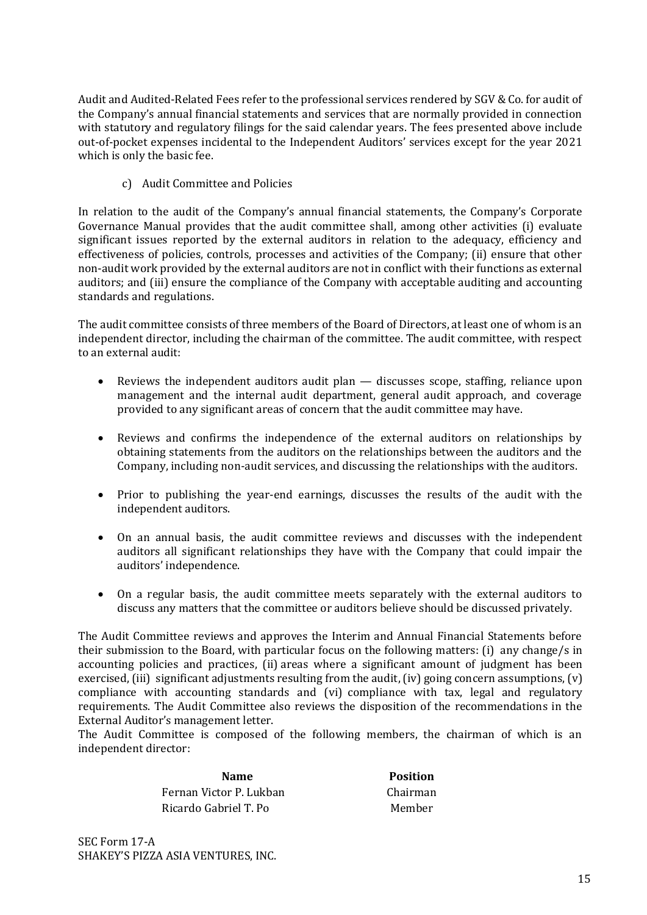Audit and Audited-Related Fees refer to the professional services rendered by SGV & Co. for audit of the Company's annual financial statements and services that are normally provided in connection with statutory and regulatory filings for the said calendar years. The fees presented above include out-of-pocket expenses incidental to the Independent Auditors' services except for the year 2021 which is only the basic fee.

c) Audit Committee and Policies

In relation to the audit of the Company's annual financial statements, the Company's Corporate Governance Manual provides that the audit committee shall, among other activities (i) evaluate significant issues reported by the external auditors in relation to the adequacy, efficiency and effectiveness of policies, controls, processes and activities of the Company; (ii) ensure that other non-audit work provided by the external auditors are not in conflict with their functions as external auditors; and (iii) ensure the compliance of the Company with acceptable auditing and accounting standards and regulations.

The audit committee consists of three members of the Board of Directors, at least one of whom is an independent director, including the chairman of the committee. The audit committee, with respect to an external audit:

- Reviews the independent auditors audit plan  $-$  discusses scope, staffing, reliance upon management and the internal audit department, general audit approach, and coverage provided to any significant areas of concern that the audit committee may have.
- Reviews and confirms the independence of the external auditors on relationships by obtaining statements from the auditors on the relationships between the auditors and the Company, including non-audit services, and discussing the relationships with the auditors.
- Prior to publishing the year-end earnings, discusses the results of the audit with the independent auditors.
- On an annual basis, the audit committee reviews and discusses with the independent auditors all significant relationships they have with the Company that could impair the auditors' independence.
- On a regular basis, the audit committee meets separately with the external auditors to discuss any matters that the committee or auditors believe should be discussed privately.

The Audit Committee reviews and approves the Interim and Annual Financial Statements before their submission to the Board, with particular focus on the following matters: (i) any change/s in accounting policies and practices, (ii) areas where a significant amount of judgment has been exercised, (iii) significant adjustments resulting from the audit, (iv) going concern assumptions, (v) compliance with accounting standards and (vi) compliance with tax, legal and regulatory requirements. The Audit Committee also reviews the disposition of the recommendations in the External Auditor's management letter.

The Audit Committee is composed of the following members, the chairman of which is an independent director:

> **Name Position** Fernan Victor P. Lukban Chairman Ricardo Gabriel T. Po Member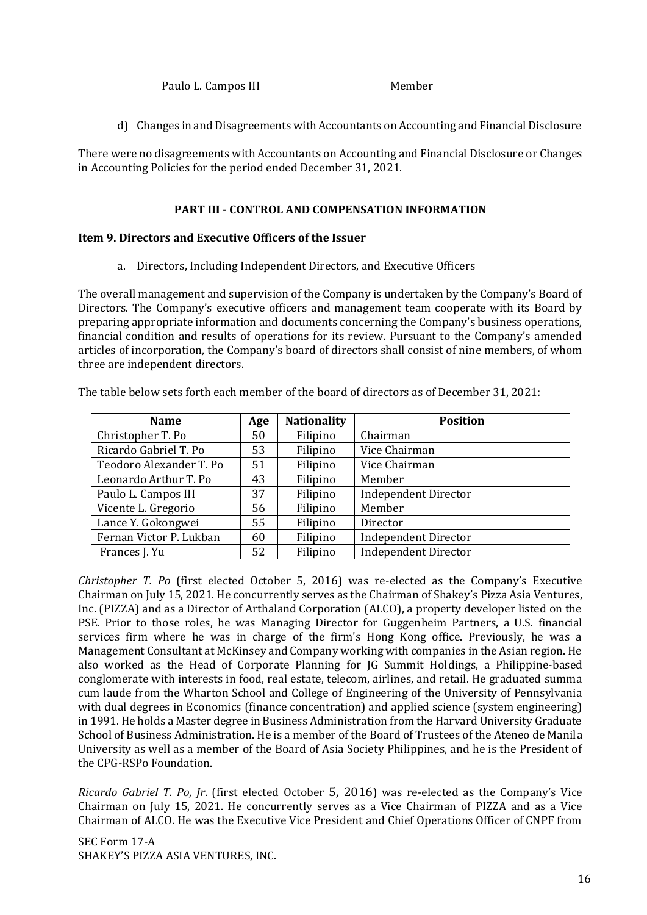Paulo L. Campos III Member

d) Changes in and Disagreements with Accountants on Accounting and Financial Disclosure

There were no disagreements with Accountants on Accounting and Financial Disclosure or Changes in Accounting Policies for the period ended December 31, 2021.

# **PART III - CONTROL AND COMPENSATION INFORMATION**

## **Item 9. Directors and Executive Officers of the Issuer**

a. Directors, Including Independent Directors, and Executive Officers

The overall management and supervision of the Company is undertaken by the Company's Board of Directors. The Company's executive officers and management team cooperate with its Board by preparing appropriate information and documents concerning the Company's business operations, financial condition and results of operations for its review. Pursuant to the Company's amended articles of incorporation, the Company's board of directors shall consist of nine members, of whom three are independent directors.

The table below sets forth each member of the board of directors as of December 31, 2021:

| <b>Name</b>             | Age | <b>Nationality</b> | <b>Position</b>             |
|-------------------------|-----|--------------------|-----------------------------|
| Christopher T. Po       | 50  | Filipino           | Chairman                    |
| Ricardo Gabriel T. Po   | 53  | Filipino           | Vice Chairman               |
| Teodoro Alexander T. Po | 51  | Filipino           | Vice Chairman               |
| Leonardo Arthur T. Po   | 43  | Filipino           | Member                      |
| Paulo L. Campos III     | 37  | Filipino           | <b>Independent Director</b> |
| Vicente L. Gregorio     | 56  | Filipino           | Member                      |
| Lance Y. Gokongwei      | 55  | Filipino           | Director                    |
| Fernan Victor P. Lukban | 60  | Filipino           | <b>Independent Director</b> |
| Frances J. Yu           | 52  | Filipino           | <b>Independent Director</b> |

*Christopher T. Po* (first elected October 5, 2016) was re-elected as the Company's Executive Chairman on July 15, 2021. He concurrently serves as the Chairman of Shakey's Pizza Asia Ventures, Inc. (PIZZA) and as a Director of Arthaland Corporation (ALCO), a property developer listed on the PSE. Prior to those roles, he was Managing Director for Guggenheim Partners, a U.S. financial services firm where he was in charge of the firm's Hong Kong office. Previously, he was a Management Consultant at McKinsey and Company working with companies in the Asian region. He also worked as the Head of Corporate Planning for JG Summit Holdings, a Philippine-based conglomerate with interests in food, real estate, telecom, airlines, and retail. He graduated summa cum laude from the Wharton School and College of Engineering of the University of Pennsylvania with dual degrees in Economics (finance concentration) and applied science (system engineering) in 1991. He holds a Master degree in Business Administration from the Harvard University Graduate School of Business Administration. He is a member of the Board of Trustees of the Ateneo de Manila University as well as a member of the Board of Asia Society Philippines, and he is the President of the CPG-RSPo Foundation.

*Ricardo Gabriel T. Po, Jr*. (first elected October 5, 2016) was re-elected as the Company's Vice Chairman on July 15, 2021. He concurrently serves as a Vice Chairman of PIZZA and as a Vice Chairman of ALCO. He was the Executive Vice President and Chief Operations Officer of CNPF from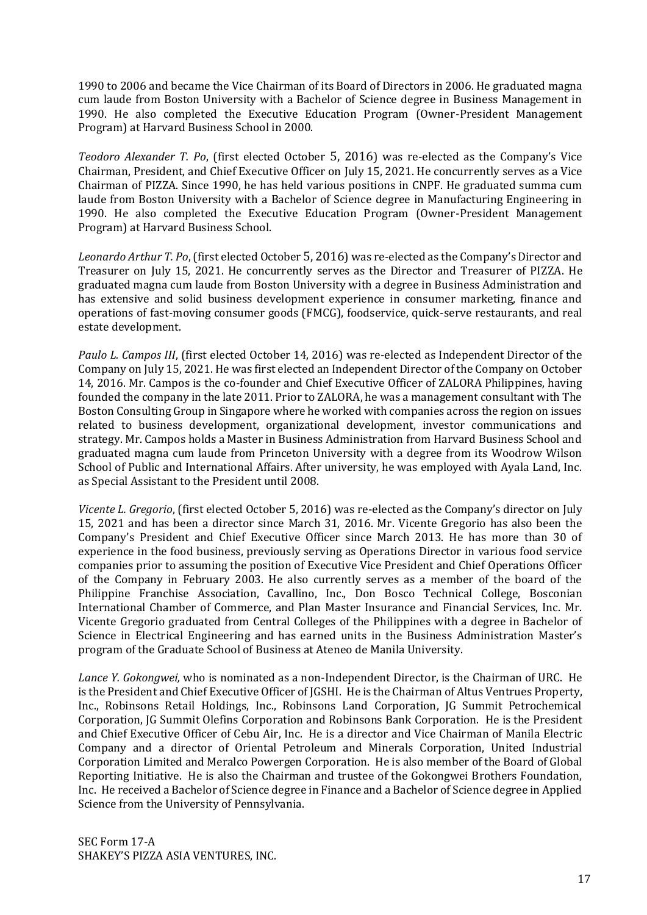1990 to 2006 and became the Vice Chairman of its Board of Directors in 2006. He graduated magna cum laude from Boston University with a Bachelor of Science degree in Business Management in 1990. He also completed the Executive Education Program (Owner-President Management Program) at Harvard Business School in 2000.

*Teodoro Alexander T. Po*, (first elected October 5, 2016) was re-elected as the Company's Vice Chairman, President, and Chief Executive Officer on July 15, 2021. He concurrently serves as a Vice Chairman of PIZZA. Since 1990, he has held various positions in CNPF. He graduated summa cum laude from Boston University with a Bachelor of Science degree in Manufacturing Engineering in 1990. He also completed the Executive Education Program (Owner-President Management Program) at Harvard Business School.

*Leonardo Arthur T. Po*, (first elected October 5, 2016) was re-elected as the Company's Director and Treasurer on July 15, 2021. He concurrently serves as the Director and Treasurer of PIZZA. He graduated magna cum laude from Boston University with a degree in Business Administration and has extensive and solid business development experience in consumer marketing, finance and operations of fast-moving consumer goods (FMCG), foodservice, quick-serve restaurants, and real estate development.

*Paulo L. Campos III*, (first elected October 14, 2016) was re-elected as Independent Director of the Company on July 15, 2021. He was first elected an Independent Director of the Company on October 14, 2016. Mr. Campos is the co-founder and Chief Executive Officer of ZALORA Philippines, having founded the company in the late 2011. Prior to ZALORA, he was a management consultant with The Boston Consulting Group in Singapore where he worked with companies across the region on issues related to business development, organizational development, investor communications and strategy. Mr. Campos holds a Master in Business Administration from Harvard Business School and graduated magna cum laude from Princeton University with a degree from its Woodrow Wilson School of Public and International Affairs. After university, he was employed with Ayala Land, Inc. as Special Assistant to the President until 2008.

*Vicente L. Gregorio*, (first elected October 5, 2016) was re-elected as the Company's director on July 15, 2021 and has been a director since March 31, 2016. Mr. Vicente Gregorio has also been the Company's President and Chief Executive Officer since March 2013. He has more than 30 of experience in the food business, previously serving as Operations Director in various food service companies prior to assuming the position of Executive Vice President and Chief Operations Officer of the Company in February 2003. He also currently serves as a member of the board of the Philippine Franchise Association, Cavallino, Inc., Don Bosco Technical College, Bosconian International Chamber of Commerce, and Plan Master Insurance and Financial Services, Inc. Mr. Vicente Gregorio graduated from Central Colleges of the Philippines with a degree in Bachelor of Science in Electrical Engineering and has earned units in the Business Administration Master's program of the Graduate School of Business at Ateneo de Manila University.

*Lance Y. Gokongwei,* who is nominated as a non-Independent Director, is the Chairman of URC. He is the President and Chief Executive Officer of JGSHI. He is the Chairman of Altus Ventrues Property, Inc., Robinsons Retail Holdings, Inc., Robinsons Land Corporation, JG Summit Petrochemical Corporation, JG Summit Olefins Corporation and Robinsons Bank Corporation. He is the President and Chief Executive Officer of Cebu Air, Inc. He is a director and Vice Chairman of Manila Electric Company and a director of Oriental Petroleum and Minerals Corporation, United Industrial Corporation Limited and Meralco Powergen Corporation. He is also member of the Board of Global Reporting Initiative. He is also the Chairman and trustee of the Gokongwei Brothers Foundation, Inc. He received a Bachelor of Science degree in Finance and a Bachelor of Science degree in Applied Science from the University of Pennsylvania.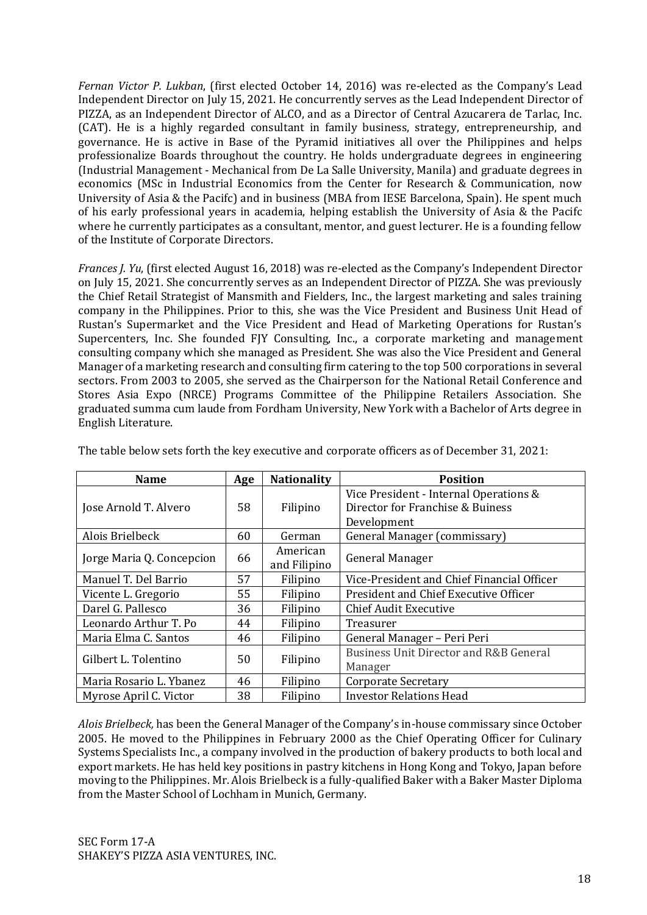*Fernan Victor P. Lukban*, (first elected October 14, 2016) was re-elected as the Company's Lead Independent Director on July 15, 2021. He concurrently serves as the Lead Independent Director of PIZZA, as an Independent Director of ALCO, and as a Director of Central Azucarera de Tarlac, Inc. (CAT). He is a highly regarded consultant in family business, strategy, entrepreneurship, and governance. He is active in Base of the Pyramid initiatives all over the Philippines and helps professionalize Boards throughout the country. He holds undergraduate degrees in engineering (Industrial Management - Mechanical from De La Salle University, Manila) and graduate degrees in economics (MSc in Industrial Economics from the Center for Research & Communication, now University of Asia & the Pacifc) and in business (MBA from IESE Barcelona, Spain). He spent much of his early professional years in academia, helping establish the University of Asia & the Pacifc where he currently participates as a consultant, mentor, and guest lecturer. He is a founding fellow of the Institute of Corporate Directors.

*Frances J. Yu*, (first elected August 16, 2018) was re-elected as the Company's Independent Director on July 15, 2021. She concurrently serves as an Independent Director of PIZZA. She was previously the Chief Retail Strategist of Mansmith and Fielders, Inc., the largest marketing and sales training company in the Philippines. Prior to this, she was the Vice President and Business Unit Head of Rustan's Supermarket and the Vice President and Head of Marketing Operations for Rustan's Supercenters, Inc. She founded FJY Consulting, Inc., a corporate marketing and management consulting company which she managed as President. She was also the Vice President and General Manager of a marketing research and consulting firm catering to the top 500 corporations in several sectors. From 2003 to 2005, she served as the Chairperson for the National Retail Conference and Stores Asia Expo (NRCE) Programs Committee of the Philippine Retailers Association. She graduated summa cum laude from Fordham University, New York with a Bachelor of Arts degree in English Literature.

| <b>Name</b>               | Age | <b>Nationality</b>       | <b>Position</b>                                                                           |
|---------------------------|-----|--------------------------|-------------------------------------------------------------------------------------------|
| Jose Arnold T. Alvero     | 58  | Filipino                 | Vice President - Internal Operations &<br>Director for Franchise & Buiness<br>Development |
| Alois Brielbeck           | 60  | German                   | General Manager (commissary)                                                              |
| Jorge Maria Q. Concepcion | 66  | American<br>and Filipino | <b>General Manager</b>                                                                    |
| Manuel T. Del Barrio      | 57  | Filipino                 | Vice-President and Chief Financial Officer                                                |
| Vicente L. Gregorio       | 55  | Filipino                 | President and Chief Executive Officer                                                     |
| Darel G. Pallesco         | 36  | Filipino                 | <b>Chief Audit Executive</b>                                                              |
| Leonardo Arthur T. Po     | 44  | Filipino                 | Treasurer                                                                                 |
| Maria Elma C. Santos      | 46  | Filipino                 | General Manager - Peri Peri                                                               |
| Gilbert L. Tolentino      | 50  | Filipino                 | <b>Business Unit Director and R&amp;B General</b><br>Manager                              |
| Maria Rosario L. Ybanez   | 46  | Filipino                 | <b>Corporate Secretary</b>                                                                |
| Myrose April C. Victor    | 38  | Filipino                 | <b>Investor Relations Head</b>                                                            |

The table below sets forth the key executive and corporate officers as of December 31, 2021:

*Alois Brielbeck,* has been the General Manager of the Company's in-house commissary since October 2005. He moved to the Philippines in February 2000 as the Chief Operating Officer for Culinary Systems Specialists Inc., a company involved in the production of bakery products to both local and export markets. He has held key positions in pastry kitchens in Hong Kong and Tokyo, Japan before moving to the Philippines. Mr. Alois Brielbeck is a fully-qualified Baker with a Baker Master Diploma from the Master School of Lochham in Munich, Germany.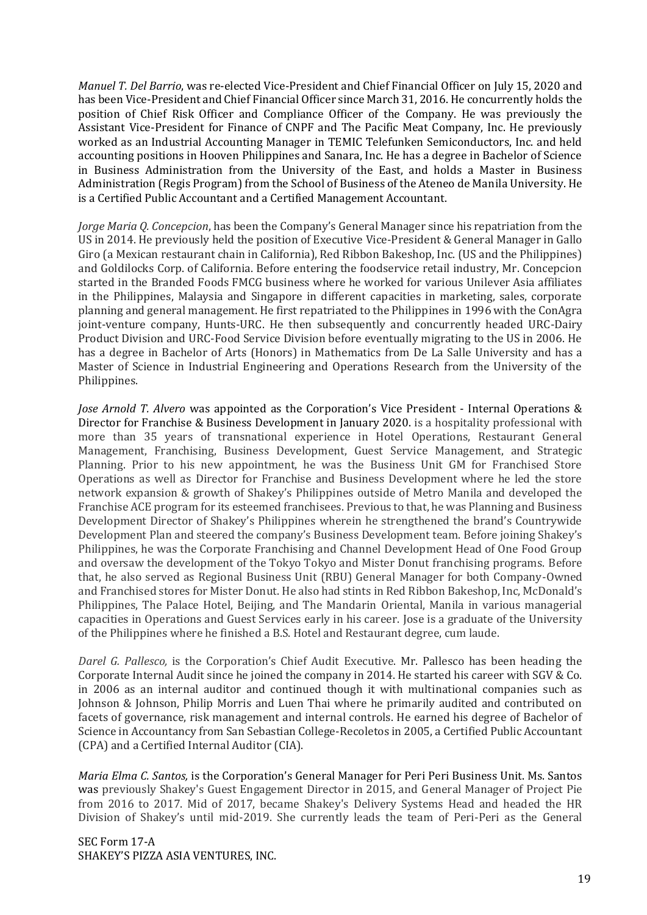*Manuel T. Del Barrio*, was re-elected Vice-President and Chief Financial Officer on July 15, 2020 and has been Vice-President and Chief Financial Officer since March 31, 2016. He concurrently holds the position of Chief Risk Officer and Compliance Officer of the Company. He was previously the Assistant Vice-President for Finance of CNPF and The Pacific Meat Company, Inc. He previously worked as an Industrial Accounting Manager in TEMIC Telefunken Semiconductors, Inc. and held accounting positions in Hooven Philippines and Sanara, Inc. He has a degree in Bachelor of Science in Business Administration from the University of the East, and holds a Master in Business Administration (Regis Program) from the School of Business of the Ateneo de Manila University. He is a Certified Public Accountant and a Certified Management Accountant.

*Jorge Maria Q. Concepcion*, has been the Company's General Manager since his repatriation from the US in 2014. He previously held the position of Executive Vice-President & General Manager in Gallo Giro (a Mexican restaurant chain in California), Red Ribbon Bakeshop, Inc. (US and the Philippines) and Goldilocks Corp. of California. Before entering the foodservice retail industry, Mr. Concepcion started in the Branded Foods FMCG business where he worked for various Unilever Asia affiliates in the Philippines, Malaysia and Singapore in different capacities in marketing, sales, corporate planning and general management. He first repatriated to the Philippines in 1996 with the ConAgra joint-venture company, Hunts-URC. He then subsequently and concurrently headed URC-Dairy Product Division and URC-Food Service Division before eventually migrating to the US in 2006. He has a degree in Bachelor of Arts (Honors) in Mathematics from De La Salle University and has a Master of Science in Industrial Engineering and Operations Research from the University of the Philippines.

*Jose Arnold T. Alvero* was appointed as the Corporation's Vice President - Internal Operations & Director for Franchise & Business Development in January 2020. is a hospitality professional with more than 35 years of transnational experience in Hotel Operations, Restaurant General Management, Franchising, Business Development, Guest Service Management, and Strategic Planning. Prior to his new appointment, he was the Business Unit GM for Franchised Store Operations as well as Director for Franchise and Business Development where he led the store network expansion & growth of Shakey's Philippines outside of Metro Manila and developed the Franchise ACE program for its esteemed franchisees. Previous to that, he was Planning and Business Development Director of Shakey's Philippines wherein he strengthened the brand's Countrywide Development Plan and steered the company's Business Development team. Before joining Shakey's Philippines, he was the Corporate Franchising and Channel Development Head of One Food Group and oversaw the development of the Tokyo Tokyo and Mister Donut franchising programs. Before that, he also served as Regional Business Unit (RBU) General Manager for both Company-Owned and Franchised stores for Mister Donut. He also had stints in Red Ribbon Bakeshop, Inc, McDonald's Philippines, The Palace Hotel, Beijing, and The Mandarin Oriental, Manila in various managerial capacities in Operations and Guest Services early in his career. Jose is a graduate of the University of the Philippines where he finished a B.S. Hotel and Restaurant degree, cum laude.

*Darel G. Pallesco,* is the Corporation's Chief Audit Executive. Mr. Pallesco has been heading the Corporate Internal Audit since he joined the company in 2014. He started his career with SGV & Co. in 2006 as an internal auditor and continued though it with multinational companies such as Johnson & Johnson, Philip Morris and Luen Thai where he primarily audited and contributed on facets of governance, risk management and internal controls. He earned his degree of Bachelor of Science in Accountancy from San Sebastian College-Recoletos in 2005, a Certified Public Accountant (CPA) and a Certified Internal Auditor (CIA).

*Maria Elma C. Santos,* is the Corporation's General Manager for Peri Peri Business Unit. Ms. Santos was previously Shakey's Guest Engagement Director in 2015, and General Manager of Project Pie from 2016 to 2017. Mid of 2017, became Shakey's Delivery Systems Head and headed the HR Division of Shakey's until mid-2019. She currently leads the team of Peri-Peri as the General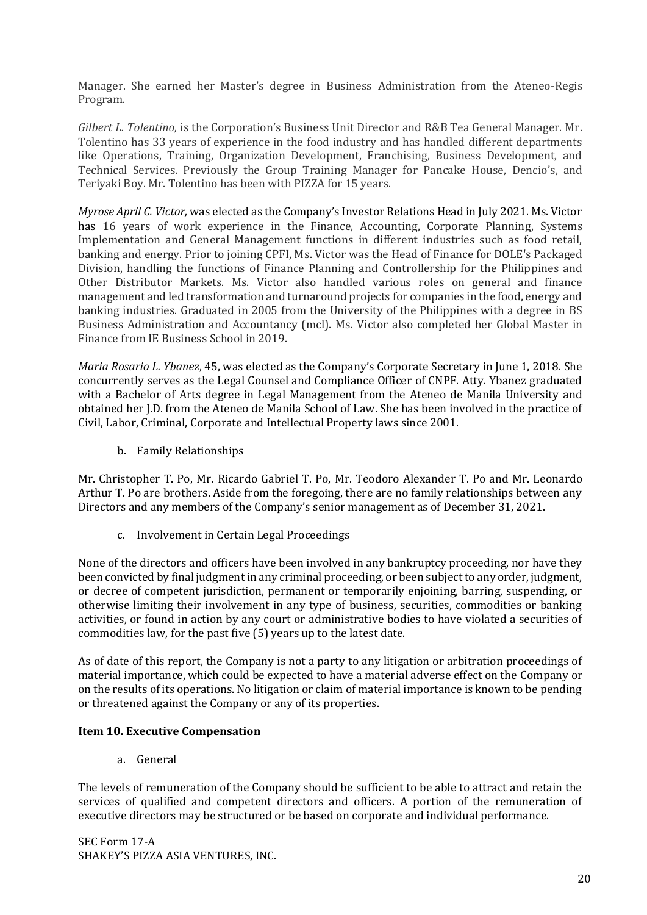Manager. She earned her Master's degree in Business Administration from the Ateneo-Regis Program.

*Gilbert L. Tolentino,* is the Corporation's Business Unit Director and R&B Tea General Manager. Mr. Tolentino has 33 years of experience in the food industry and has handled different departments like Operations, Training, Organization Development, Franchising, Business Development, and Technical Services. Previously the Group Training Manager for Pancake House, Dencio's, and Teriyaki Boy. Mr. Tolentino has been with PIZZA for 15 years.

*Myrose April C. Victor,* was elected as the Company's Investor Relations Head in July 2021. Ms. Victor has 16 years of work experience in the Finance, Accounting, Corporate Planning, Systems Implementation and General Management functions in different industries such as food retail, banking and energy. Prior to joining CPFI, Ms. Victor was the Head of Finance for DOLE's Packaged Division, handling the functions of Finance Planning and Controllership for the Philippines and Other Distributor Markets. Ms. Victor also handled various roles on general and finance management and led transformation and turnaround projects for companies in the food, energy and banking industries. Graduated in 2005 from the University of the Philippines with a degree in BS Business Administration and Accountancy (mcl). Ms. Victor also completed her Global Master in Finance from IE Business School in 2019.

*Maria Rosario L. Ybanez*, 45, was elected as the Company's Corporate Secretary in June 1, 2018. She concurrently serves as the Legal Counsel and Compliance Officer of CNPF. Atty. Ybanez graduated with a Bachelor of Arts degree in Legal Management from the Ateneo de Manila University and obtained her J.D. from the Ateneo de Manila School of Law. She has been involved in the practice of Civil, Labor, Criminal, Corporate and Intellectual Property laws since 2001.

b. Family Relationships

Mr. Christopher T. Po, Mr. Ricardo Gabriel T. Po, Mr. Teodoro Alexander T. Po and Mr. Leonardo Arthur T. Po are brothers. Aside from the foregoing, there are no family relationships between any Directors and any members of the Company's senior management as of December 31, 2021.

c. Involvement in Certain Legal Proceedings

None of the directors and officers have been involved in any bankruptcy proceeding, nor have they been convicted by final judgment in any criminal proceeding, or been subject to any order, judgment, or decree of competent jurisdiction, permanent or temporarily enjoining, barring, suspending, or otherwise limiting their involvement in any type of business, securities, commodities or banking activities, or found in action by any court or administrative bodies to have violated a securities of commodities law, for the past five (5) years up to the latest date.

As of date of this report, the Company is not a party to any litigation or arbitration proceedings of material importance, which could be expected to have a material adverse effect on the Company or on the results of its operations. No litigation or claim of material importance is known to be pending or threatened against the Company or any of its properties.

#### **Item 10. Executive Compensation**

a. General

The levels of remuneration of the Company should be sufficient to be able to attract and retain the services of qualified and competent directors and officers. A portion of the remuneration of executive directors may be structured or be based on corporate and individual performance.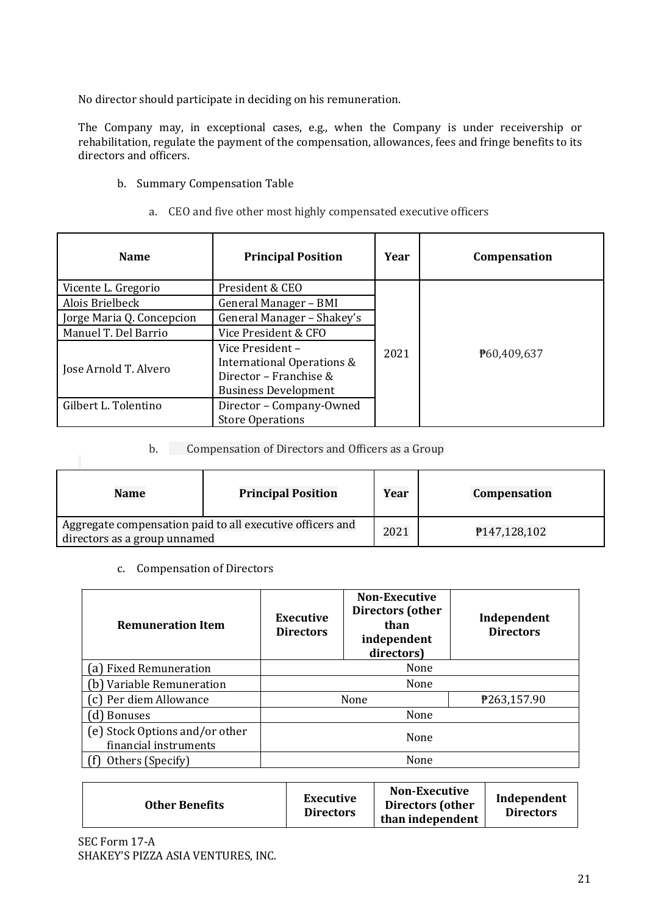No director should participate in deciding on his remuneration.

The Company may, in exceptional cases, e.g., when the Company is under receivership or rehabilitation, regulate the payment of the compensation, allowances, fees and fringe benefits to its directors and officers.

- b. Summary Compensation Table
	- a. CEO and five other most highly compensated executive officers

| <b>Name</b>               | <b>Principal Position</b>                                                                               | Year | Compensation |  |
|---------------------------|---------------------------------------------------------------------------------------------------------|------|--------------|--|
| Vicente L. Gregorio       | President & CEO                                                                                         |      |              |  |
| Alois Brielbeck           | General Manager - BMI                                                                                   |      |              |  |
| Jorge Maria Q. Concepcion | General Manager - Shakey's                                                                              |      |              |  |
| Manuel T. Del Barrio      | Vice President & CFO                                                                                    |      |              |  |
| Jose Arnold T. Alvero     | Vice President –<br>International Operations &<br>Director - Franchise &<br><b>Business Development</b> | 2021 | P60,409,637  |  |
| Gilbert L. Tolentino      | Director - Company-Owned<br><b>Store Operations</b>                                                     |      |              |  |

## b. Compensation of Directors and Officers as a Group

| <b>Name</b>                                                                               | <b>Principal Position</b> | Year | <b>Compensation</b> |
|-------------------------------------------------------------------------------------------|---------------------------|------|---------------------|
| Aggregate compensation paid to all executive officers and<br>directors as a group unnamed |                           |      | P147,128,102        |

c. Compensation of Directors

| <b>Remuneration Item</b>                                | <b>Executive</b><br><b>Directors</b> | <b>Non-Executive</b><br>Directors (other<br>than<br>independent<br>directors) | Independent<br><b>Directors</b> |
|---------------------------------------------------------|--------------------------------------|-------------------------------------------------------------------------------|---------------------------------|
| (a) Fixed Remuneration                                  | None                                 |                                                                               |                                 |
| b) Variable Remuneration                                | None                                 |                                                                               |                                 |
| c) Per diem Allowance                                   |                                      | None                                                                          | P263,157.90                     |
| <b>Bonuses</b>                                          | None                                 |                                                                               |                                 |
| (e) Stock Options and/or other<br>financial instruments | None                                 |                                                                               |                                 |
| Others (Specify)                                        |                                      | None                                                                          |                                 |

| Executive<br><b>Other Benefits</b><br><b>Directors</b> | <b>Non-Executive</b><br><b>Directors (other</b><br>than independent | Independent<br><b>Directors</b> |
|--------------------------------------------------------|---------------------------------------------------------------------|---------------------------------|
|--------------------------------------------------------|---------------------------------------------------------------------|---------------------------------|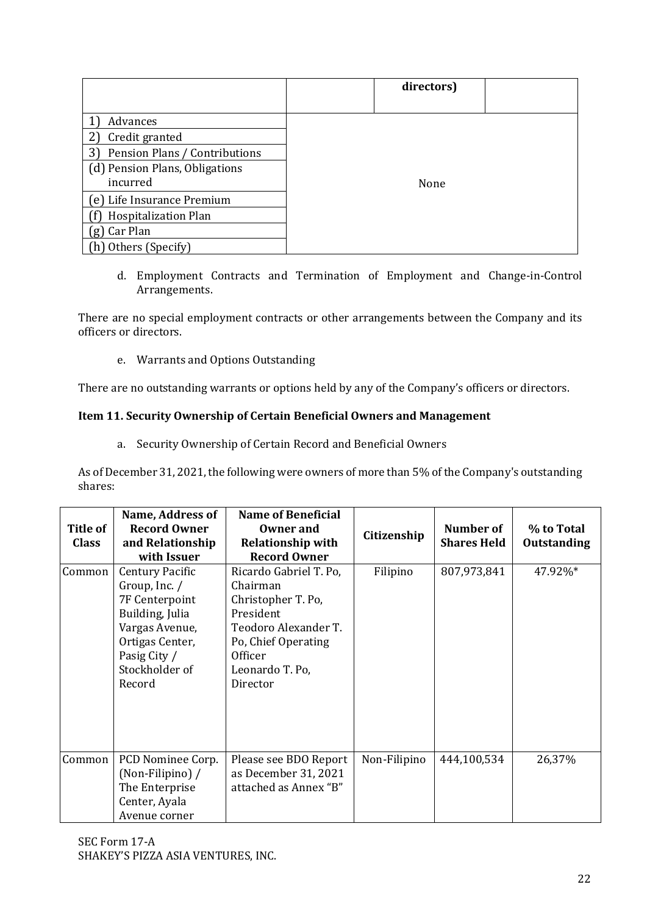|                                | directors) |  |
|--------------------------------|------------|--|
|                                |            |  |
| Advances                       |            |  |
| Credit granted                 |            |  |
| Pension Plans / Contributions  |            |  |
| (d) Pension Plans, Obligations |            |  |
| incurred                       | None       |  |
| (e) Life Insurance Premium     |            |  |
| <b>Hospitalization Plan</b>    |            |  |
| Car Plan<br>g                  |            |  |
| (h) Others (Specify)           |            |  |

d. Employment Contracts and Termination of Employment and Change-in-Control Arrangements.

There are no special employment contracts or other arrangements between the Company and its officers or directors.

e. Warrants and Options Outstanding

There are no outstanding warrants or options held by any of the Company's officers or directors.

# **Item 11. Security Ownership of Certain Beneficial Owners and Management**

a. Security Ownership of Certain Record and Beneficial Owners

As of December 31, 2021, the following were owners of more than 5% of the Company's outstanding shares:

|                 | Name, Address of    | <b>Name of Beneficial</b> |              |                    |                    |
|-----------------|---------------------|---------------------------|--------------|--------------------|--------------------|
| <b>Title of</b> | <b>Record Owner</b> | Owner and                 | Citizenship  | Number of          | % to Total         |
| <b>Class</b>    | and Relationship    | <b>Relationship with</b>  |              | <b>Shares Held</b> | <b>Outstanding</b> |
|                 | with Issuer         | <b>Record Owner</b>       |              |                    |                    |
| Common          | Century Pacific     | Ricardo Gabriel T. Po,    | Filipino     | 807,973,841        | 47.92%*            |
|                 | Group, Inc. $/$     | Chairman                  |              |                    |                    |
|                 | 7F Centerpoint      | Christopher T. Po,        |              |                    |                    |
|                 | Building, Julia     | President                 |              |                    |                    |
|                 | Vargas Avenue,      | Teodoro Alexander T.      |              |                    |                    |
|                 | Ortigas Center,     | Po, Chief Operating       |              |                    |                    |
|                 | Pasig City /        | <b>Officer</b>            |              |                    |                    |
|                 | Stockholder of      | Leonardo T. Po,           |              |                    |                    |
|                 | Record              | Director                  |              |                    |                    |
|                 |                     |                           |              |                    |                    |
|                 |                     |                           |              |                    |                    |
|                 |                     |                           |              |                    |                    |
|                 |                     |                           |              |                    |                    |
| Common          | PCD Nominee Corp.   | Please see BDO Report     | Non-Filipino | 444,100,534        | 26,37%             |
|                 | (Non-Filipino) /    | as December 31, 2021      |              |                    |                    |
|                 | The Enterprise      | attached as Annex "B"     |              |                    |                    |
|                 | Center, Ayala       |                           |              |                    |                    |
|                 |                     |                           |              |                    |                    |
|                 | Avenue corner       |                           |              |                    |                    |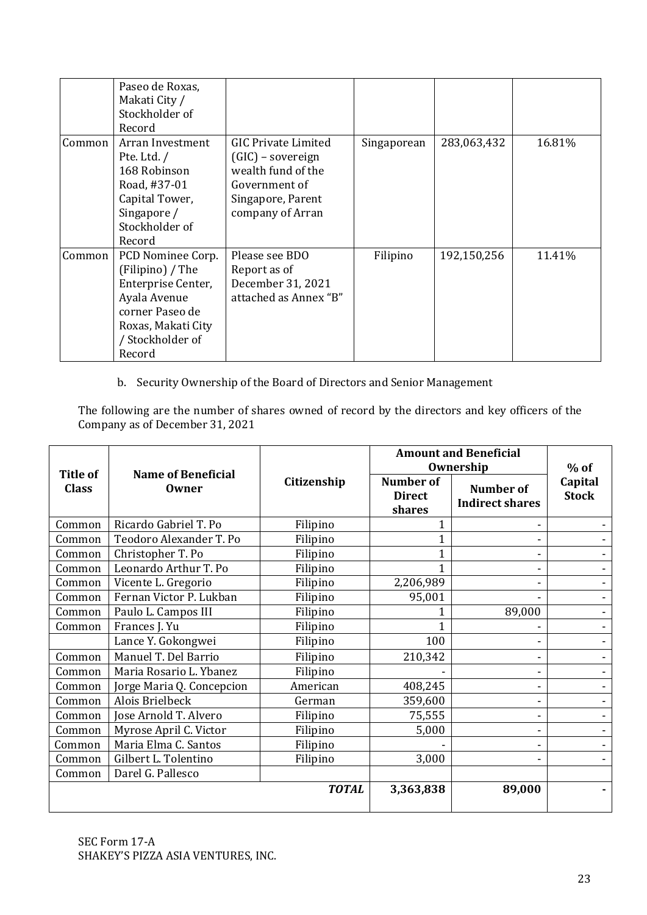|        | Paseo de Roxas,<br>Makati City /<br>Stockholder of<br>Record                                                                                       |                                                                                                                                 |             |             |        |
|--------|----------------------------------------------------------------------------------------------------------------------------------------------------|---------------------------------------------------------------------------------------------------------------------------------|-------------|-------------|--------|
| Common | Arran Investment<br>Pte. Ltd. $/$<br>168 Robinson<br>Road, #37-01<br>Capital Tower,<br>Singapore /<br>Stockholder of<br>Record                     | <b>GIC Private Limited</b><br>(GIC) – sovereign<br>wealth fund of the<br>Government of<br>Singapore, Parent<br>company of Arran | Singaporean | 283,063,432 | 16.81% |
| Common | PCD Nominee Corp.<br>(Filipino) / The<br>Enterprise Center,<br>Ayala Avenue<br>corner Paseo de<br>Roxas, Makati City<br>/ Stockholder of<br>Record | Please see BDO<br>Report as of<br>December 31, 2021<br>attached as Annex "B"                                                    | Filipino    | 192,150,256 | 11.41% |

b. Security Ownership of the Board of Directors and Senior Management

The following are the number of shares owned of record by the directors and key officers of the Company as of December 31, 2021

|                                 |                                    |              | <b>Amount and Beneficial</b><br>Ownership   |                                            | $%$ of                   |  |
|---------------------------------|------------------------------------|--------------|---------------------------------------------|--------------------------------------------|--------------------------|--|
| <b>Title of</b><br><b>Class</b> | <b>Name of Beneficial</b><br>Owner | Citizenship  | <b>Number of</b><br><b>Direct</b><br>shares | <b>Number of</b><br><b>Indirect shares</b> | Capital<br><b>Stock</b>  |  |
| Common                          | Ricardo Gabriel T. Po              | Filipino     |                                             |                                            |                          |  |
| Common                          | Teodoro Alexander T. Po            | Filipino     | 1                                           |                                            |                          |  |
| Common                          | Christopher T. Po                  | Filipino     | $\overline{1}$                              |                                            |                          |  |
| Common                          | Leonardo Arthur T. Po              | Filipino     | 1                                           |                                            |                          |  |
| Common                          | Vicente L. Gregorio                | Filipino     | 2,206,989                                   |                                            |                          |  |
| Common                          | Fernan Victor P. Lukban            | Filipino     | 95,001                                      |                                            | $\overline{\phantom{0}}$ |  |
| Common                          | Paulo L. Campos III                | Filipino     |                                             | 89,000                                     |                          |  |
| Common                          | Frances J. Yu                      | Filipino     |                                             |                                            |                          |  |
|                                 | Lance Y. Gokongwei                 | Filipino     | 100                                         |                                            |                          |  |
| Common                          | Manuel T. Del Barrio               | Filipino     | 210,342                                     |                                            |                          |  |
| Common                          | Maria Rosario L. Ybanez            | Filipino     |                                             |                                            |                          |  |
| Common                          | Jorge Maria Q. Concepcion          | American     | 408,245                                     |                                            |                          |  |
| Common                          | Alois Brielbeck                    | German       | 359,600                                     |                                            |                          |  |
| Common                          | Jose Arnold T. Alvero              | Filipino     | 75,555                                      |                                            |                          |  |
| Common                          | Myrose April C. Victor             | Filipino     | 5,000                                       |                                            |                          |  |
| Common                          | Maria Elma C. Santos               | Filipino     |                                             |                                            |                          |  |
| Common                          | Gilbert L. Tolentino               | Filipino     | 3,000                                       |                                            |                          |  |
| Common                          | Darel G. Pallesco                  |              |                                             |                                            |                          |  |
|                                 |                                    | <b>TOTAL</b> | 3,363,838                                   | 89,000                                     |                          |  |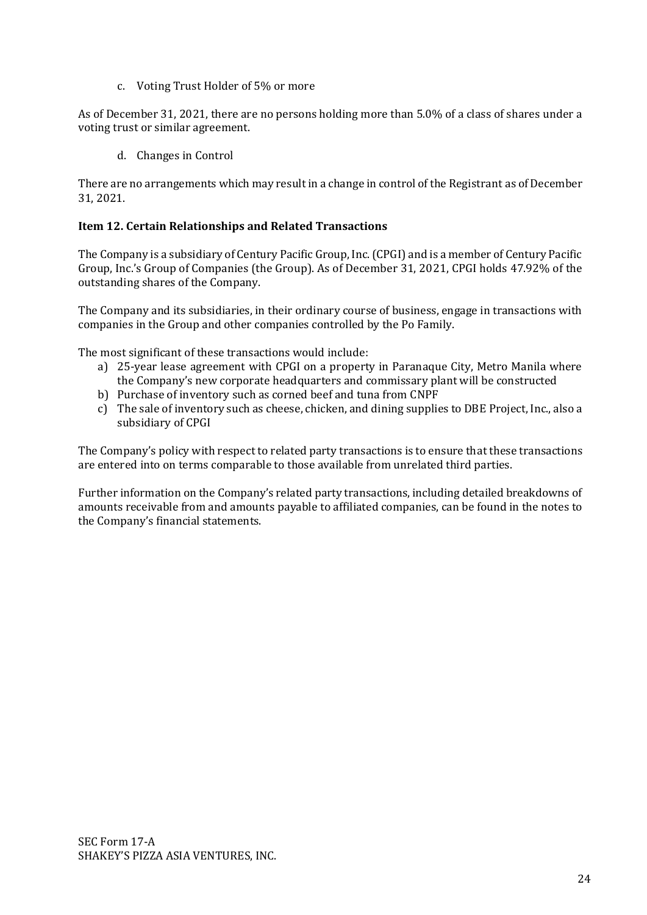c. Voting Trust Holder of 5% or more

As of December 31, 2021, there are no persons holding more than 5.0% of a class of shares under a voting trust or similar agreement.

d. Changes in Control

There are no arrangements which may result in a change in control of the Registrant as of December 31, 2021.

# **Item 12. Certain Relationships and Related Transactions**

The Company is a subsidiary of Century Pacific Group, Inc. (CPGI) and is a member of Century Pacific Group, Inc.'s Group of Companies (the Group). As of December 31, 2021, CPGI holds 47.92% of the outstanding shares of the Company.

The Company and its subsidiaries, in their ordinary course of business, engage in transactions with companies in the Group and other companies controlled by the Po Family.

The most significant of these transactions would include:

- a) 25-year lease agreement with CPGI on a property in Paranaque City, Metro Manila where the Company's new corporate headquarters and commissary plant will be constructed
- b) Purchase of inventory such as corned beef and tuna from CNPF
- c) The sale of inventory such as cheese, chicken, and dining supplies to DBE Project, Inc., also a subsidiary of CPGI

The Company's policy with respect to related party transactions is to ensure that these transactions are entered into on terms comparable to those available from unrelated third parties.

Further information on the Company's related party transactions, including detailed breakdowns of amounts receivable from and amounts payable to affiliated companies, can be found in the notes to the Company's financial statements.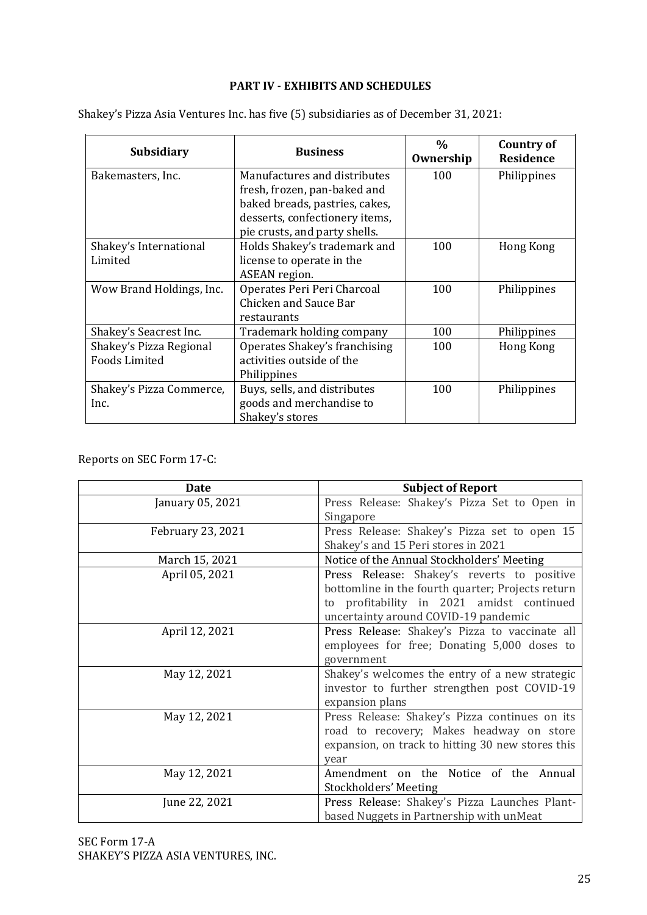# **PART IV - EXHIBITS AND SCHEDULES**

Shakey's Pizza Asia Ventures Inc. has five (5) subsidiaries as of December 31, 2021:

| <b>Subsidiary</b>        | <b>Business</b>                | $\%$<br>Ownership | Country of<br><b>Residence</b> |
|--------------------------|--------------------------------|-------------------|--------------------------------|
| Bakemasters, Inc.        | Manufactures and distributes   | 100               | Philippines                    |
|                          | fresh, frozen, pan-baked and   |                   |                                |
|                          | baked breads, pastries, cakes, |                   |                                |
|                          | desserts, confectionery items, |                   |                                |
|                          | pie crusts, and party shells.  |                   |                                |
| Shakey's International   | Holds Shakey's trademark and   | 100               | Hong Kong                      |
| Limited                  | license to operate in the      |                   |                                |
|                          | ASEAN region.                  |                   |                                |
| Wow Brand Holdings, Inc. | Operates Peri Peri Charcoal    | 100               | Philippines                    |
|                          | Chicken and Sauce Bar          |                   |                                |
|                          | restaurants                    |                   |                                |
| Shakey's Seacrest Inc.   | Trademark holding company      | 100               | Philippines                    |
| Shakey's Pizza Regional  | Operates Shakey's franchising  | 100               | Hong Kong                      |
| <b>Foods Limited</b>     | activities outside of the      |                   |                                |
|                          | Philippines                    |                   |                                |
| Shakey's Pizza Commerce, | Buys, sells, and distributes   | 100               | Philippines                    |
| Inc.                     | goods and merchandise to       |                   |                                |
|                          | Shakey's stores                |                   |                                |

# Reports on SEC Form 17-C:

| Date              | <b>Subject of Report</b>                          |
|-------------------|---------------------------------------------------|
| January 05, 2021  | Press Release: Shakey's Pizza Set to Open in      |
|                   | Singapore                                         |
| February 23, 2021 | Press Release: Shakey's Pizza set to open 15      |
|                   | Shakey's and 15 Peri stores in 2021               |
| March 15, 2021    | Notice of the Annual Stockholders' Meeting        |
| April 05, 2021    | Press Release: Shakey's reverts to positive       |
|                   | bottomline in the fourth quarter; Projects return |
|                   | to profitability in 2021 amidst continued         |
|                   | uncertainty around COVID-19 pandemic              |
| April 12, 2021    | Press Release: Shakey's Pizza to vaccinate all    |
|                   | employees for free; Donating 5,000 doses to       |
|                   | government                                        |
| May 12, 2021      | Shakey's welcomes the entry of a new strategic    |
|                   | investor to further strengthen post COVID-19      |
|                   | expansion plans                                   |
| May 12, 2021      | Press Release: Shakey's Pizza continues on its    |
|                   | road to recovery; Makes headway on store          |
|                   | expansion, on track to hitting 30 new stores this |
|                   | year                                              |
| May 12, 2021      | Amendment on the Notice of the<br>Annual          |
|                   | Stockholders' Meeting                             |
| June 22, 2021     | Press Release: Shakey's Pizza Launches Plant-     |
|                   | based Nuggets in Partnership with unMeat          |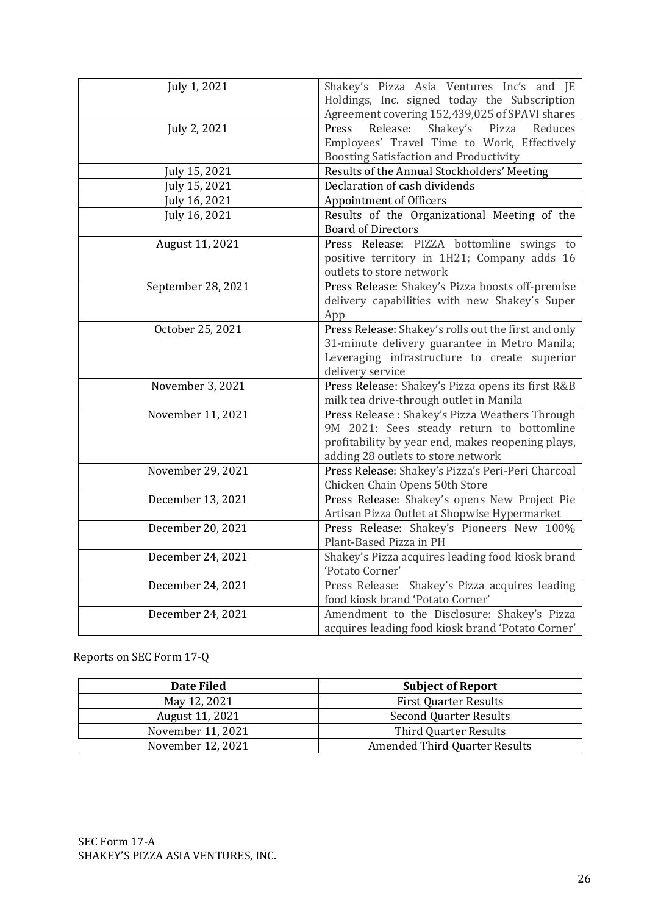| July 1, 2021       | Shakey's Pizza Asia Ventures Inc's and JE<br>Holdings, Inc. signed today the Subscription<br>Agreement covering 152,439,025 of SPAVI shares                                            |
|--------------------|----------------------------------------------------------------------------------------------------------------------------------------------------------------------------------------|
| July 2, 2021       | Shakey's<br>Press<br>Release:<br>Pizza<br>Reduces<br>Employees' Travel Time to Work, Effectively<br><b>Boosting Satisfaction and Productivity</b>                                      |
| July 15, 2021      | Results of the Annual Stockholders' Meeting                                                                                                                                            |
| July 15, 2021      | Declaration of cash dividends                                                                                                                                                          |
| July 16, 2021      | Appointment of Officers                                                                                                                                                                |
| July 16, 2021      | Results of the Organizational Meeting of the<br><b>Board of Directors</b>                                                                                                              |
| August 11, 2021    | Press Release: PIZZA bottomline swings to<br>positive territory in 1H21; Company adds 16<br>outlets to store network                                                                   |
| September 28, 2021 | Press Release: Shakey's Pizza boosts off-premise<br>delivery capabilities with new Shakey's Super<br>App                                                                               |
| October 25, 2021   | Press Release: Shakey's rolls out the first and only<br>31-minute delivery guarantee in Metro Manila;<br>Leveraging infrastructure to create superior<br>delivery service              |
| November 3, 2021   | Press Release: Shakey's Pizza opens its first R&B<br>milk tea drive-through outlet in Manila                                                                                           |
| November 11, 2021  | Press Release: Shakey's Pizza Weathers Through<br>9M 2021: Sees steady return to bottomline<br>profitability by year end, makes reopening plays,<br>adding 28 outlets to store network |
| November 29, 2021  | Press Release: Shakey's Pizza's Peri-Peri Charcoal<br>Chicken Chain Opens 50th Store                                                                                                   |
| December 13, 2021  | Press Release: Shakey's opens New Project Pie<br>Artisan Pizza Outlet at Shopwise Hypermarket                                                                                          |
| December 20, 2021  | Press Release: Shakey's Pioneers New 100%<br>Plant-Based Pizza in PH                                                                                                                   |
| December 24, 2021  | Shakey's Pizza acquires leading food kiosk brand<br>'Potato Corner'                                                                                                                    |
| December 24, 2021  | Press Release: Shakey's Pizza acquires leading<br>food kiosk brand 'Potato Corner'                                                                                                     |
| December 24, 2021  | Amendment to the Disclosure: Shakey's Pizza<br>acquires leading food kiosk brand 'Potato Corner'                                                                                       |

# Reports on SEC Form 17-Q

| <b>Date Filed</b> | <b>Subject of Report</b>             |
|-------------------|--------------------------------------|
| May 12, 2021      | <b>First Quarter Results</b>         |
| August 11, 2021   | <b>Second Quarter Results</b>        |
| November 11, 2021 | Third Quarter Results                |
| November 12, 2021 | <b>Amended Third Quarter Results</b> |